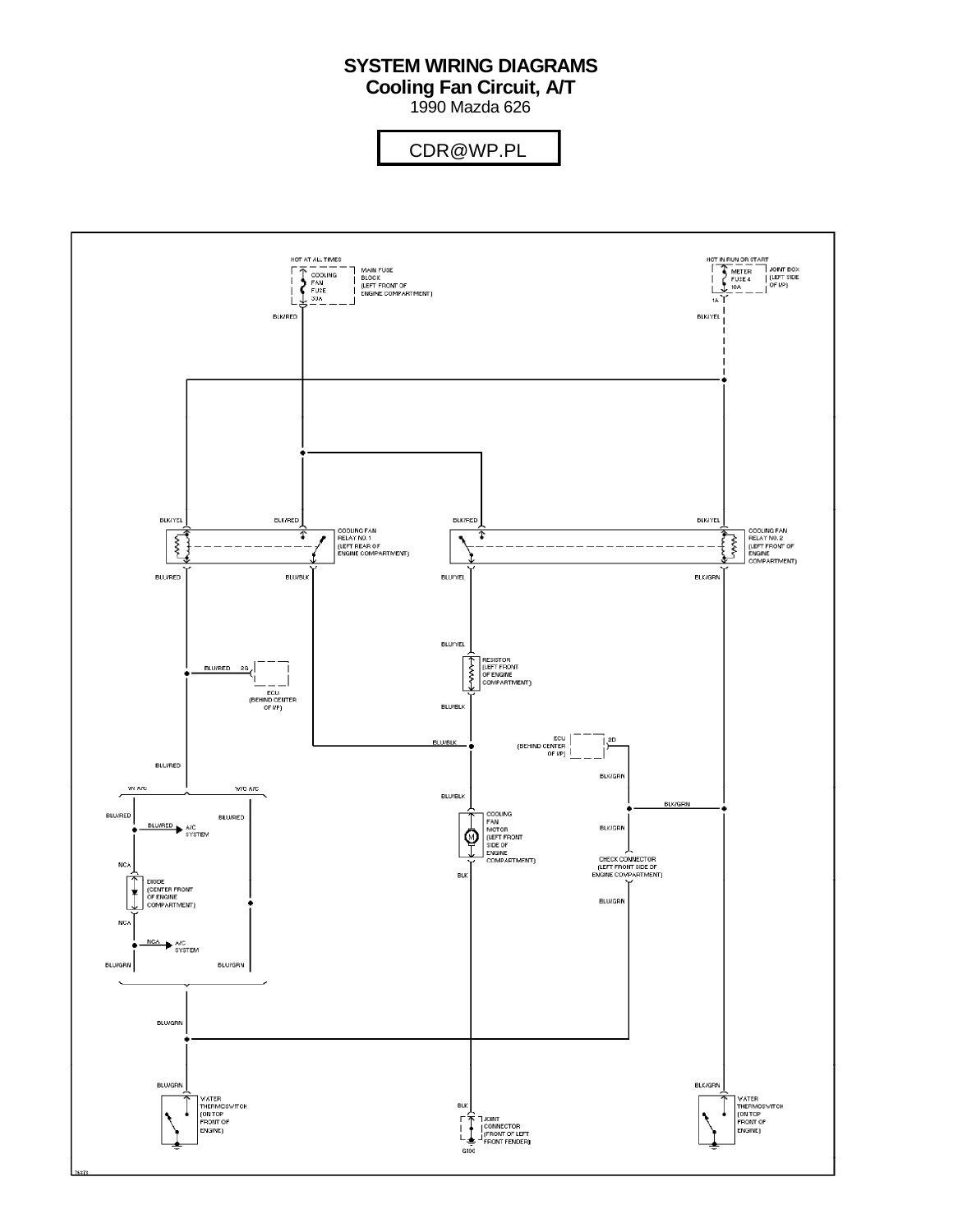# **SYSTEM WIRING DIAGRAMS**

**Cooling Fan Circuit, A/T**

1990 Mazda 626

#### For x  $\overline{\phantom{a}}$  Cop $\overline{\phantom{a}}$  Mitchell Repair Information  $\overline{\phantom{a}}$ CDR@WP.PL

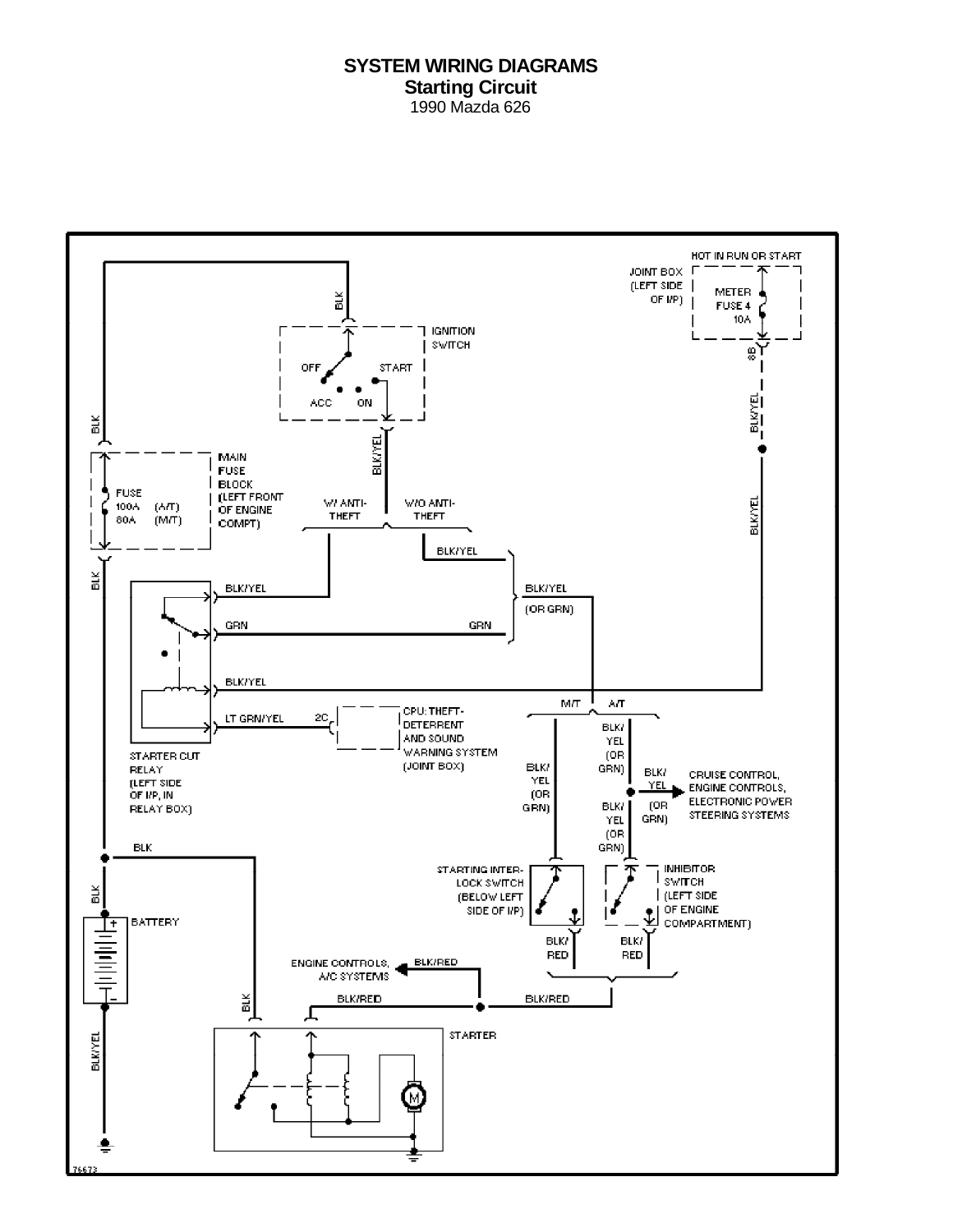#### **SYSTEM WIRING DIAGRAMS Starting Circuit** 1990 Mazda 626

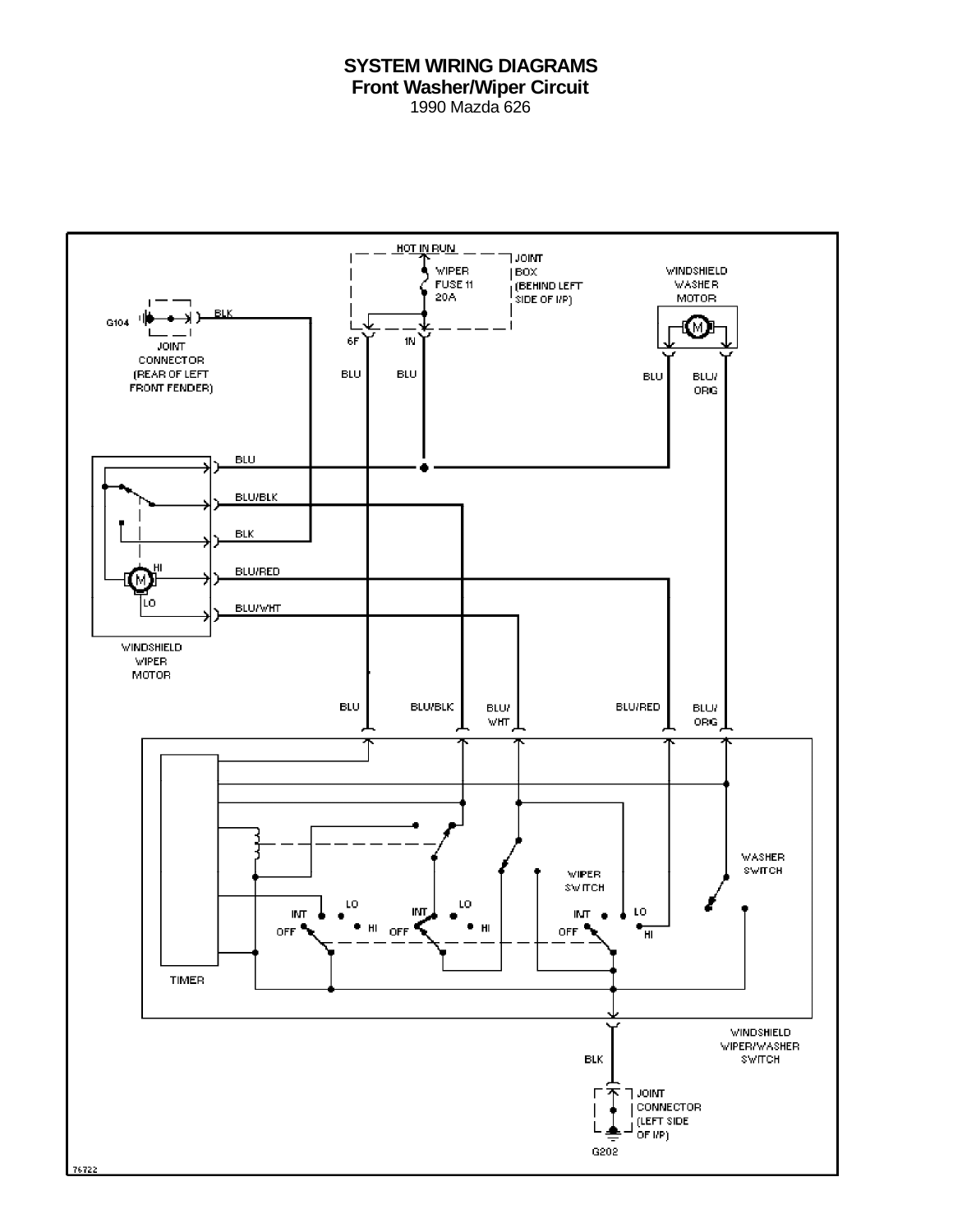### **SYSTEM WIRING DIAGRAMS Front Washer/Wiper Circuit** 1990 Mazda 626

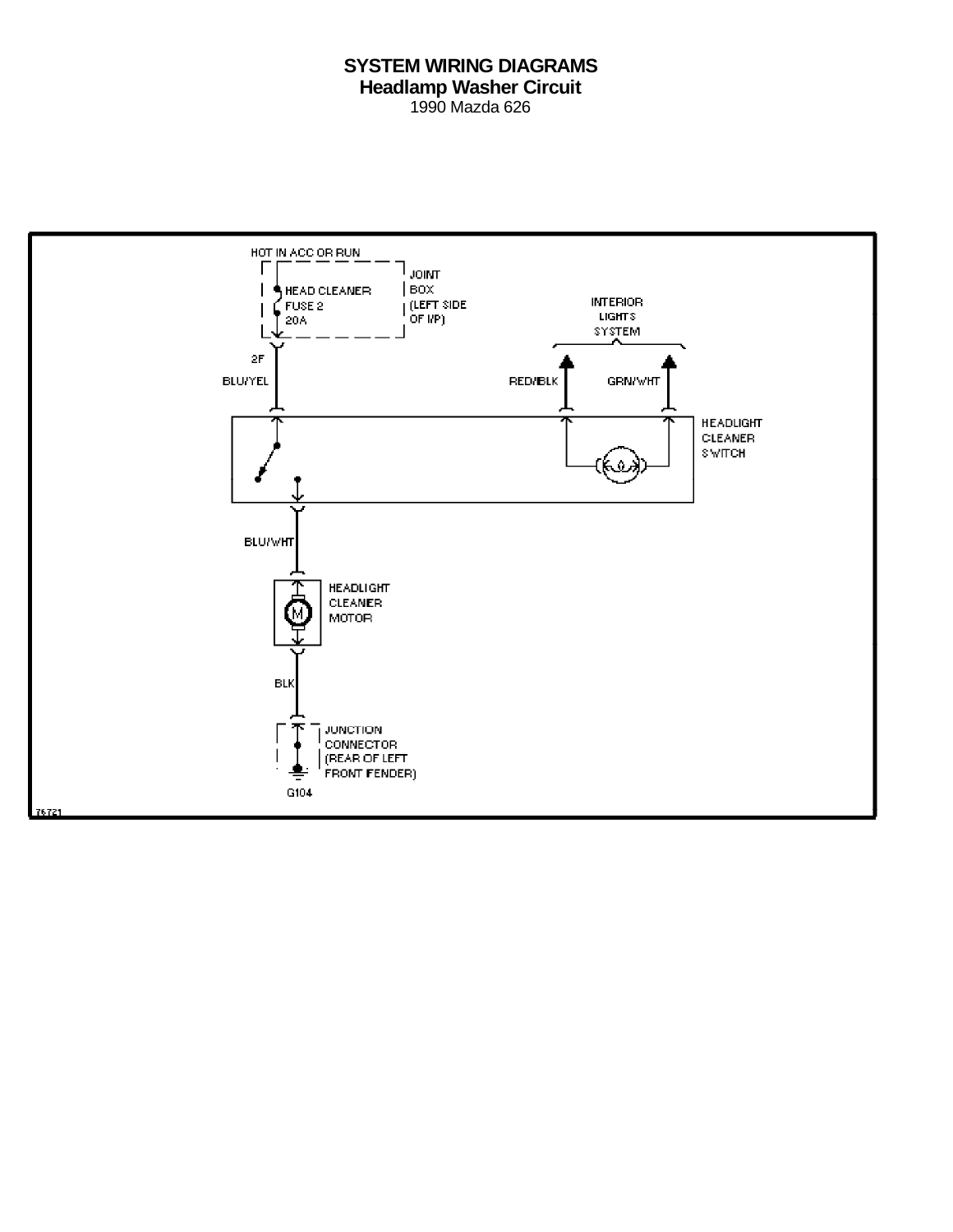# **SYSTEM WIRING DIAGRAMS Headlamp Washer Circuit** 1990 Mazda 626

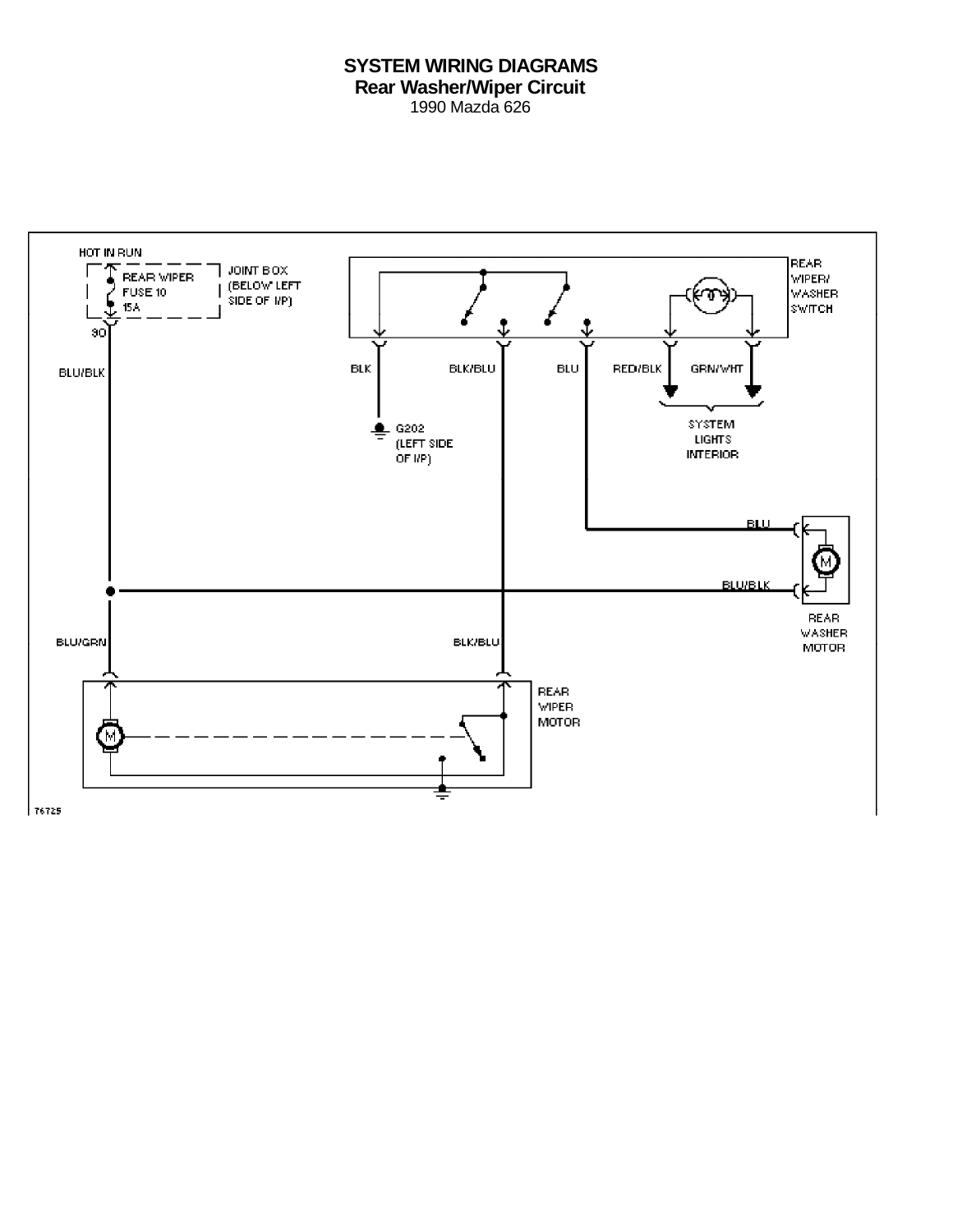# **SYSTEM WIRING DIAGRAMS Rear Washer/Wiper Circuit** 1990 Mazda 626

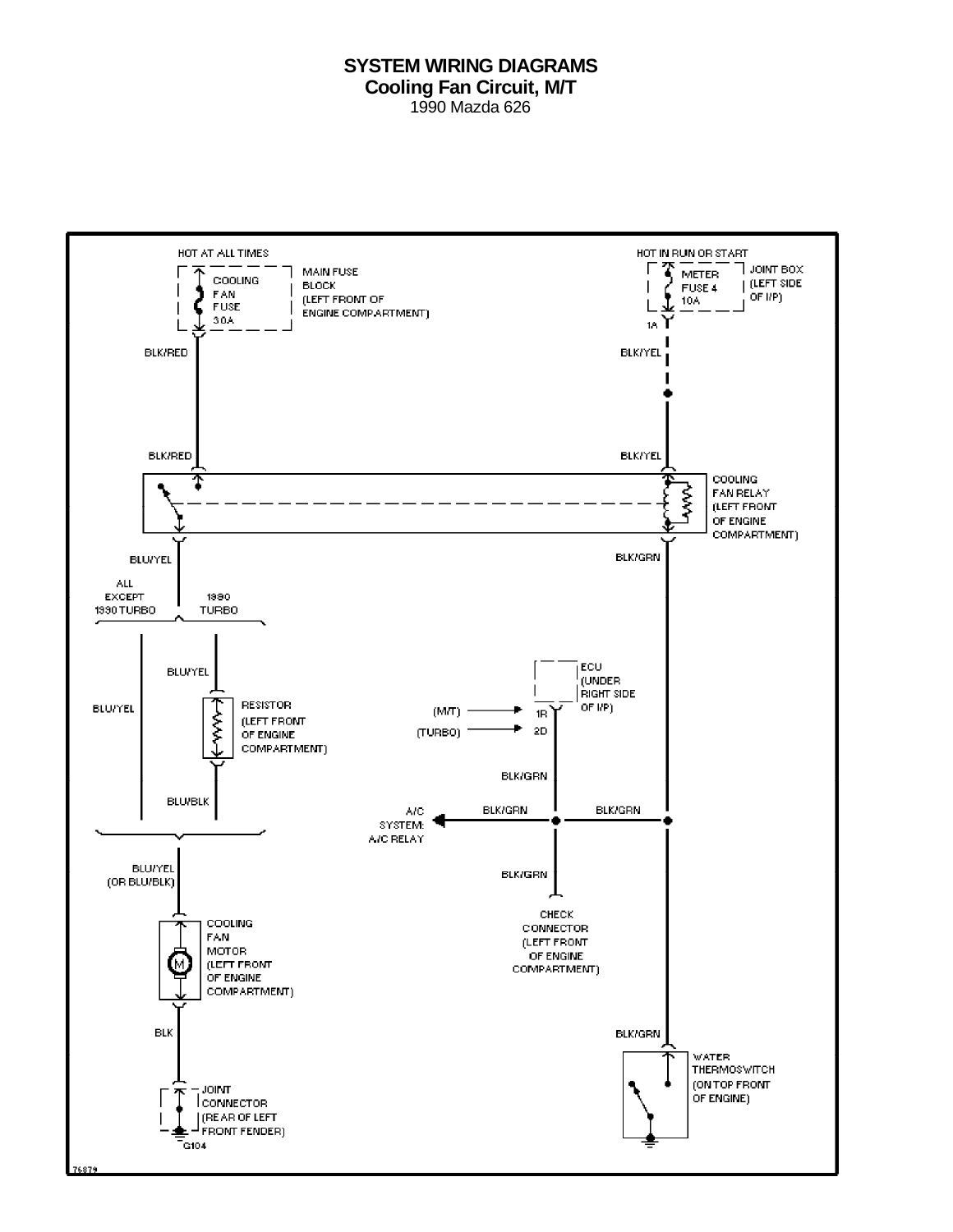#### **SYSTEM WIRING DIAGRAMS Cooling Fan Circuit, M/T** 1990 Mazda 626

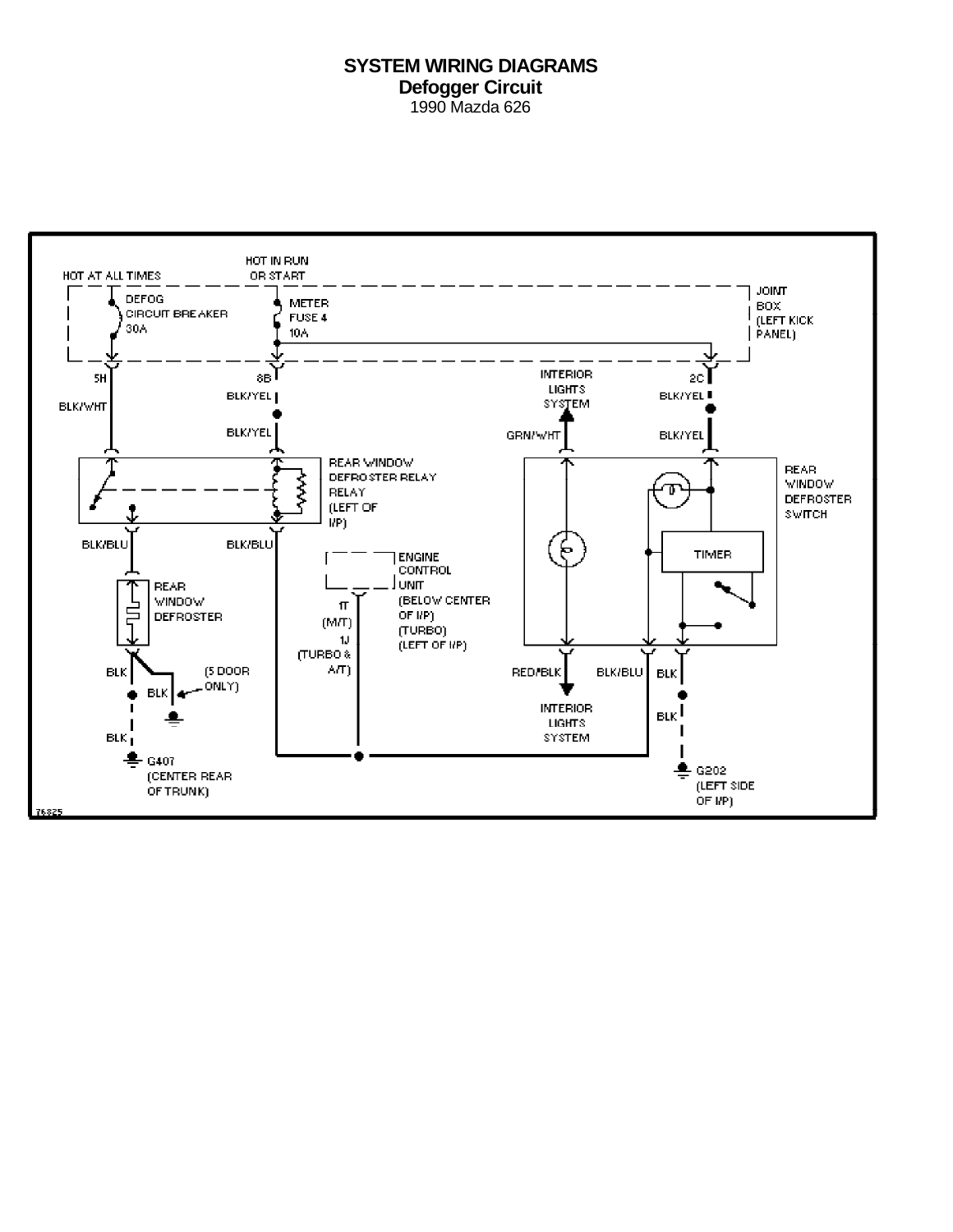### **SYSTEM WIRING DIAGRAMS Defogger Circuit** 1990 Mazda 626

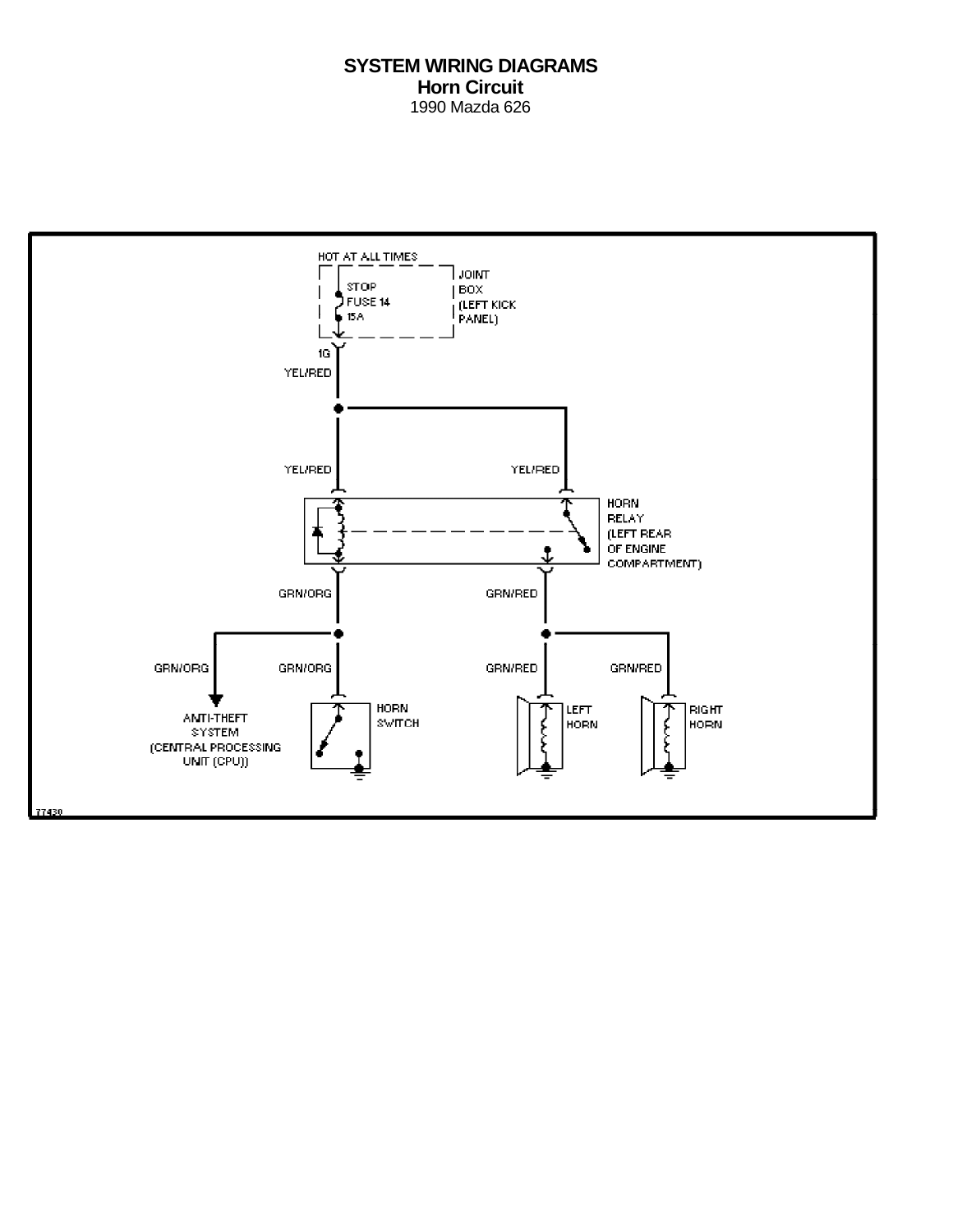# **SYSTEM WIRING DIAGRAMS Horn Circuit** 1990 Mazda 626

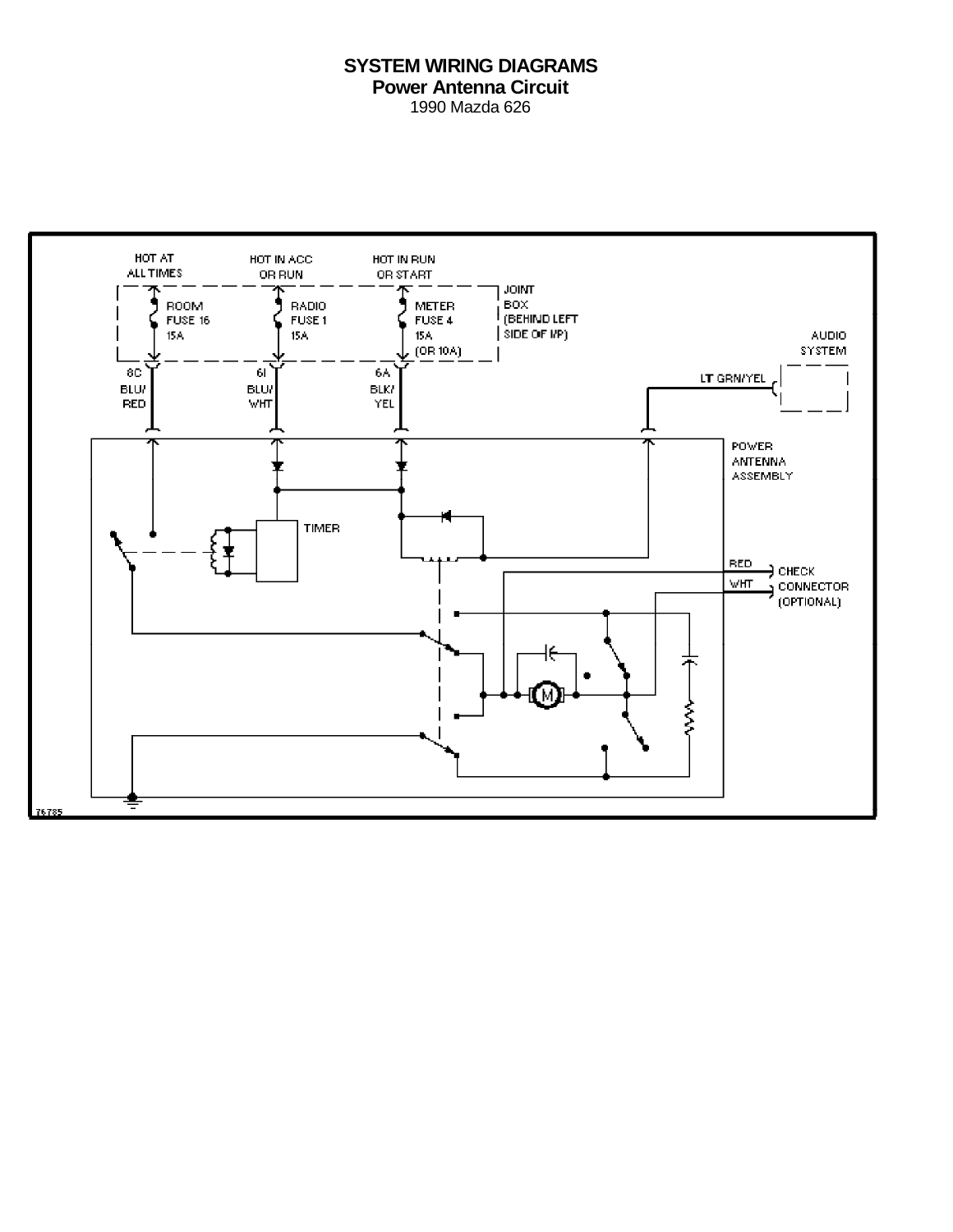# **SYSTEM WIRING DIAGRAMS Power Antenna Circuit** 1990 Mazda 626

HOT AT HOT IN ACC. HOT IN RUN. ALL TIMES OR RUN OR START **JOINT ROOM BADIO** BOX. **METER** (BEHIND LEFT FUSE 16 FUSE<sub>1</sub> FUSE 4  $|$  SIDE OF  $UP$ ) 15A **ISA AUDIO** 15A  $(OR 10A)$ SYSTEM 8C  $61$ 6٨ LT GRN/YEL **BLU/ BLU/ BLK/ RED WHT** YEL POWER **ANTENNA ASSEMBLY TIMER RED** ∃ снвок, connector WHT. (OPTIONAL) æ ξ 16785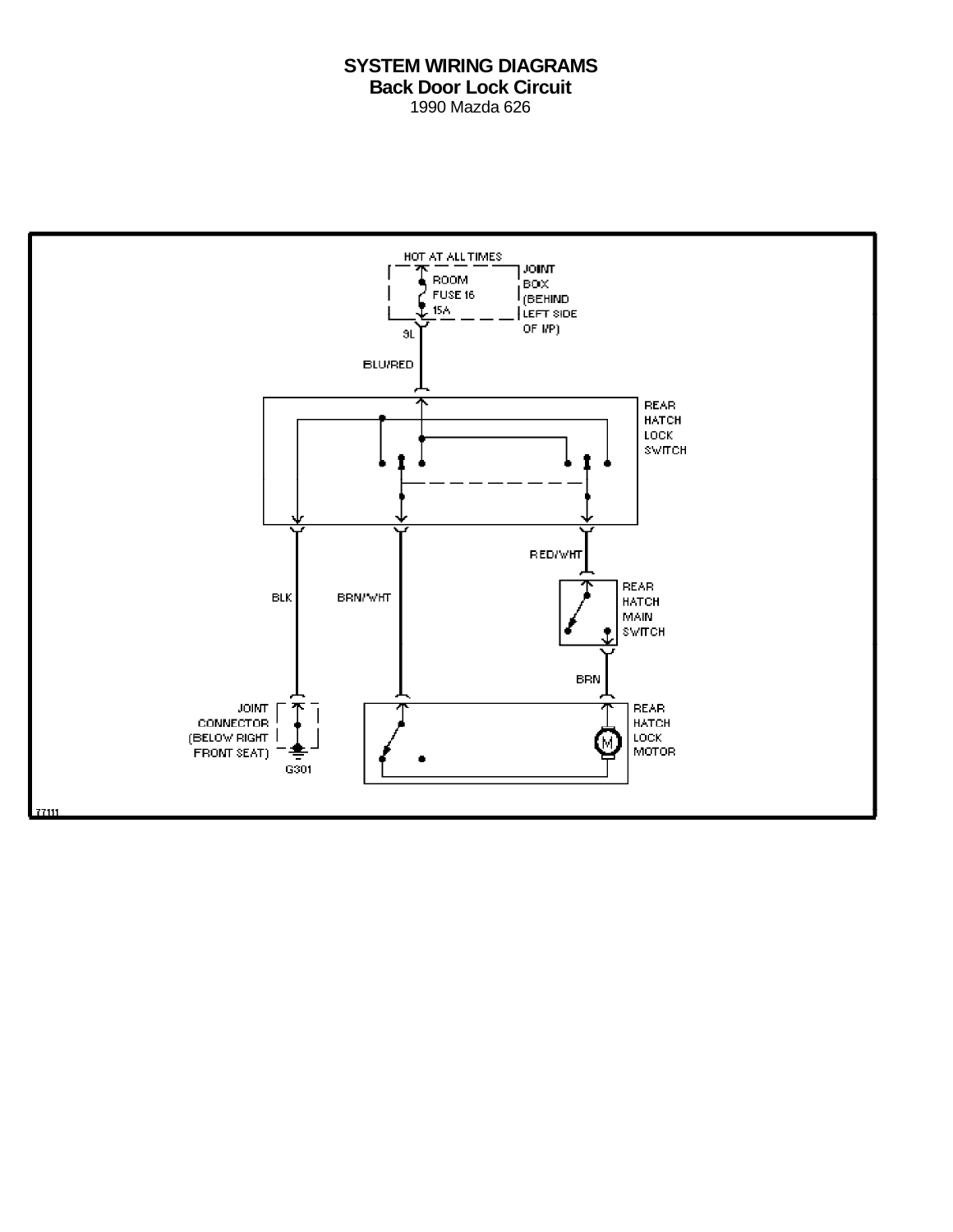# **SYSTEM WIRING DIAGRAMS Back Door Lock Circuit** 1990 Mazda 626

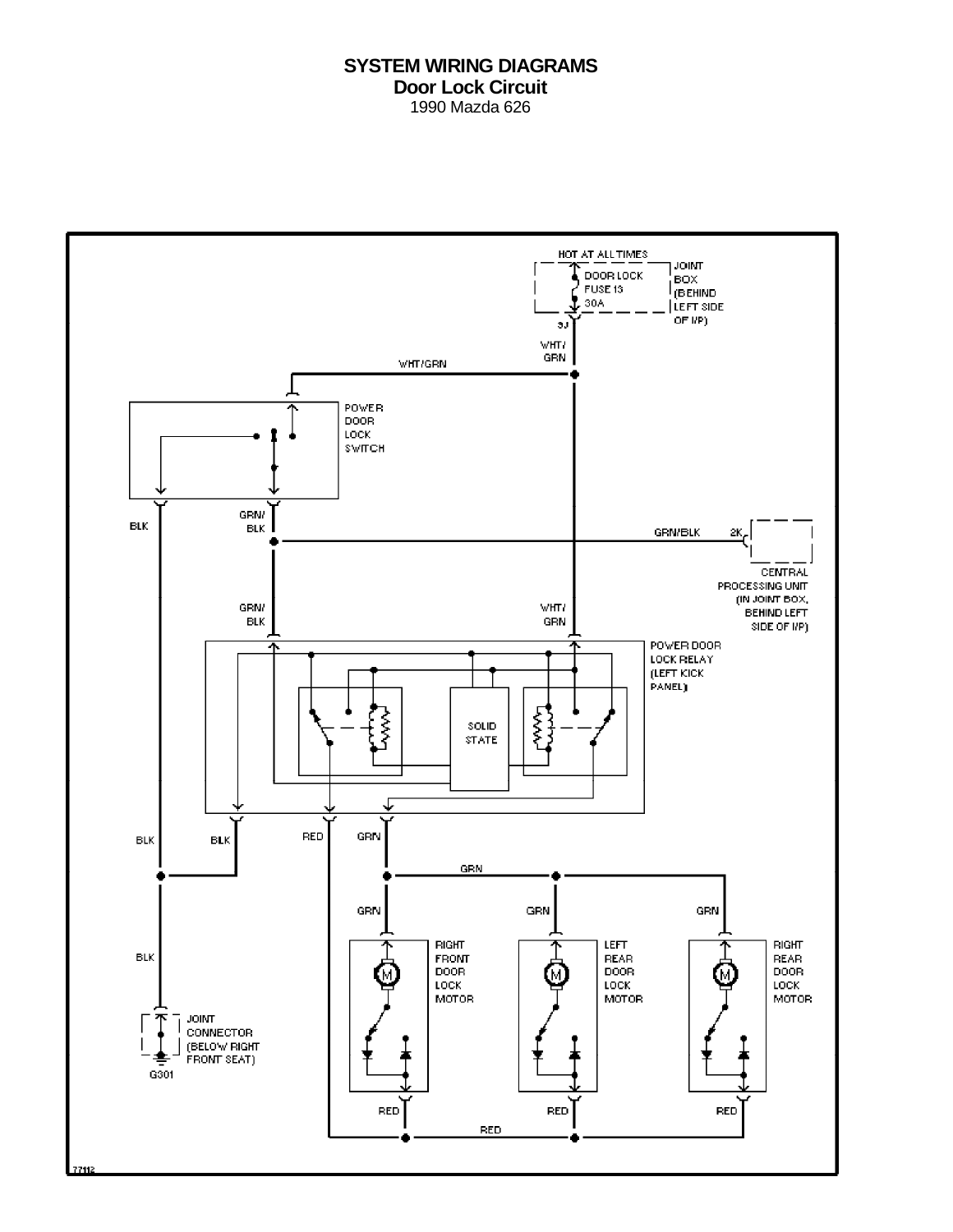### **SYSTEM WIRING DIAGRAMS Door Lock Circuit** 1990 Mazda 626

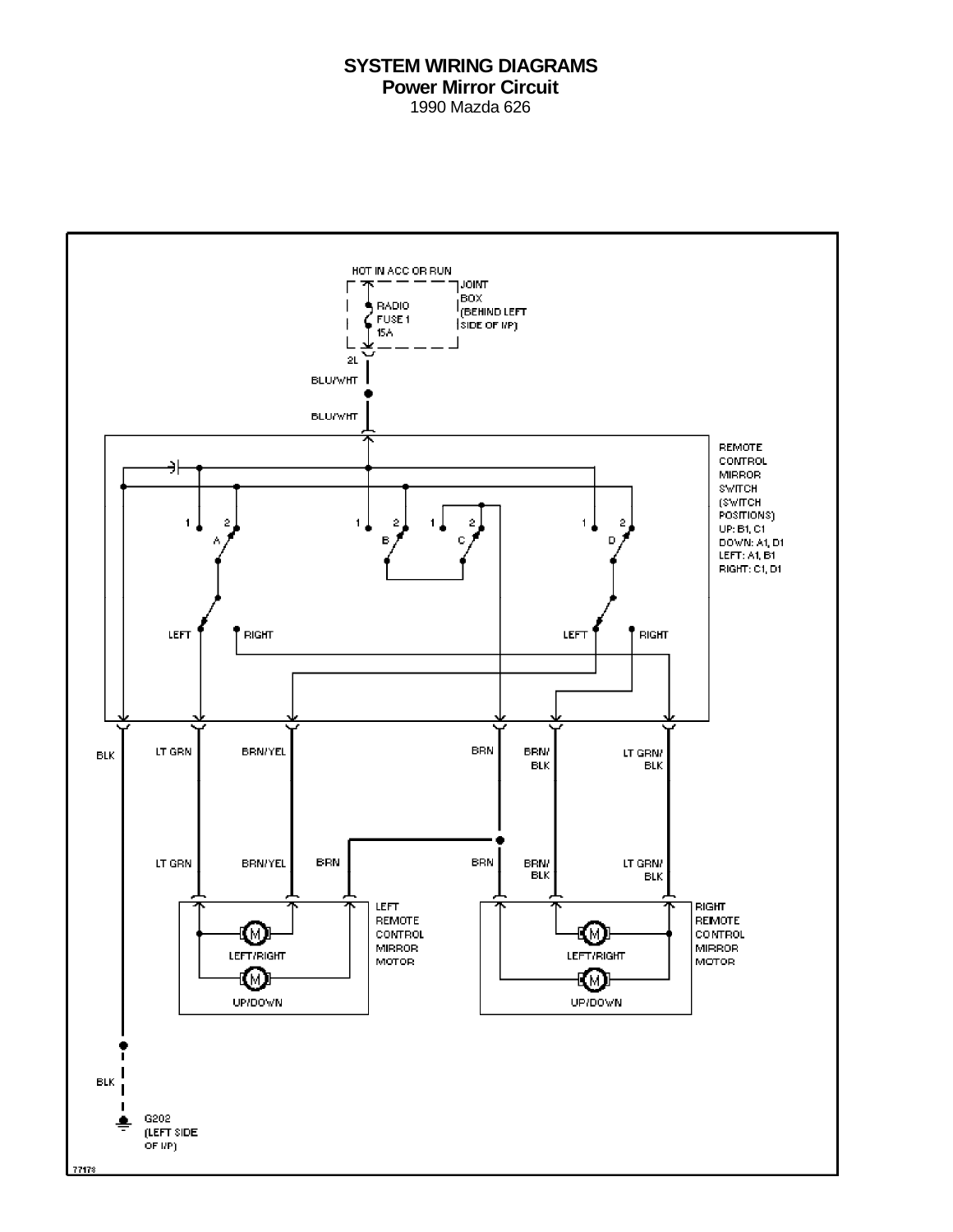#### **SYSTEM WIRING DIAGRAMS Power Mirror Circuit** 1990 Mazda 626

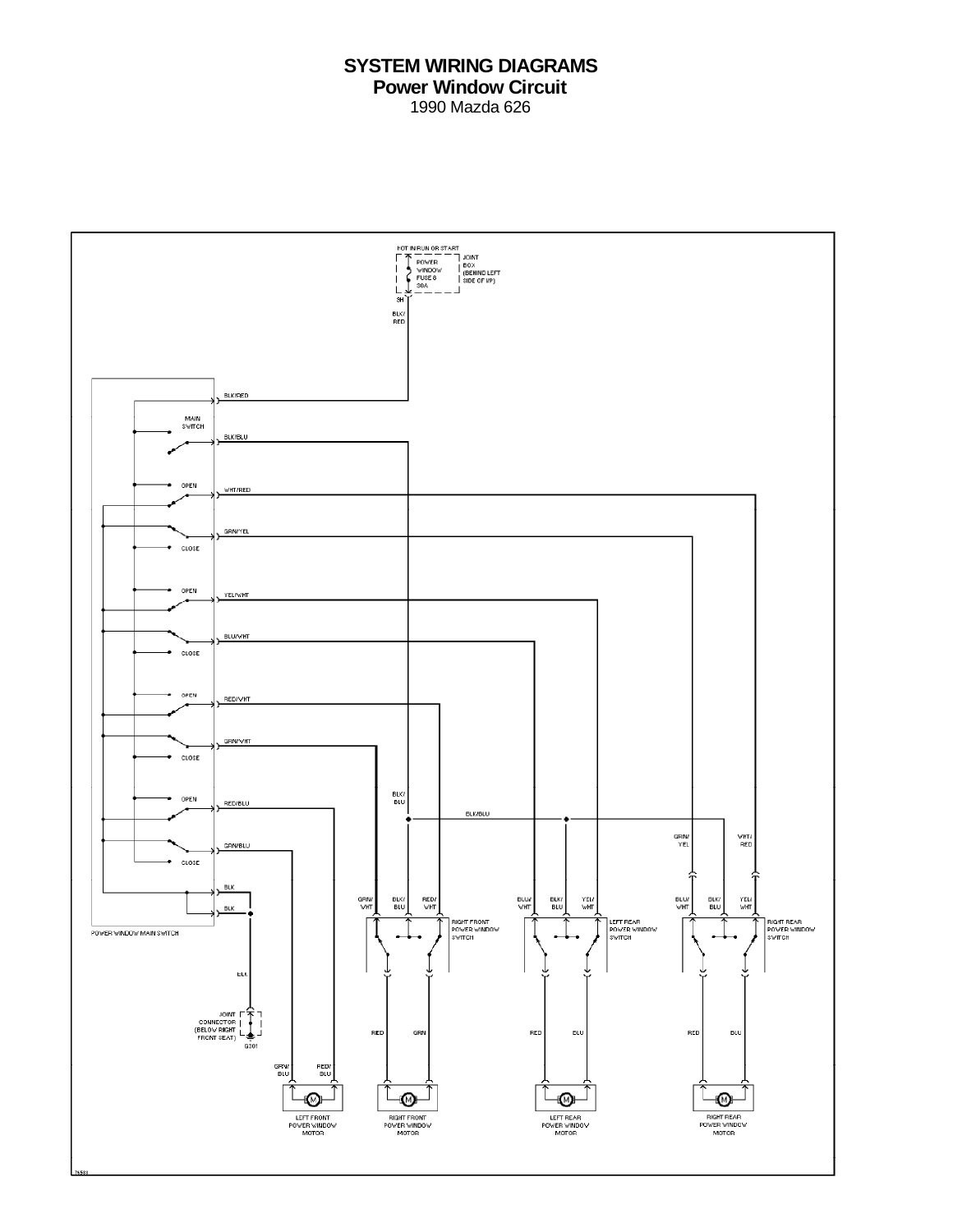# **SYSTEM WIRING DIAGRAMS Power Window Circuit** 1990 Mazda 626

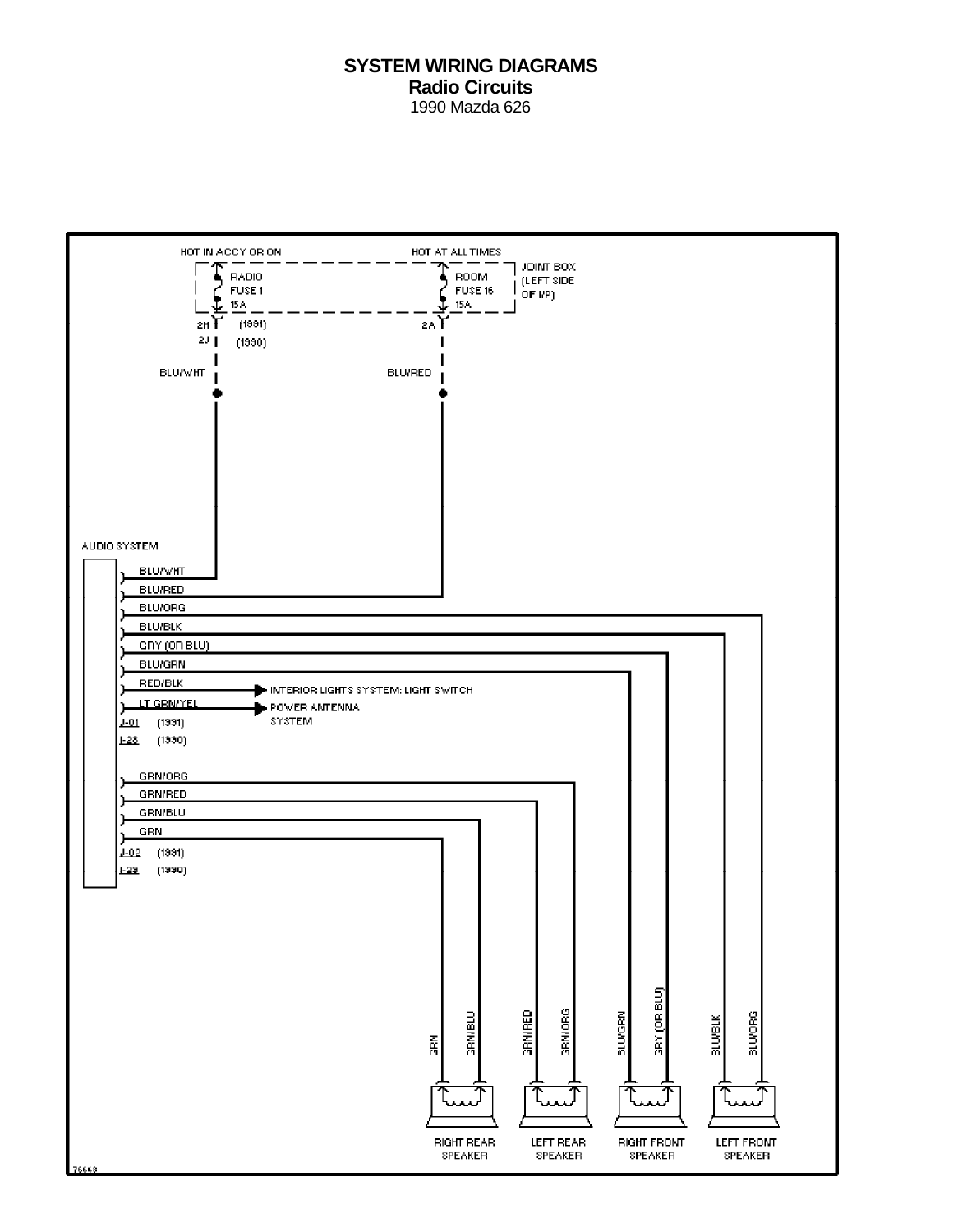### **SYSTEM WIRING DIAGRAMS Radio Circuits** 1990 Mazda 626

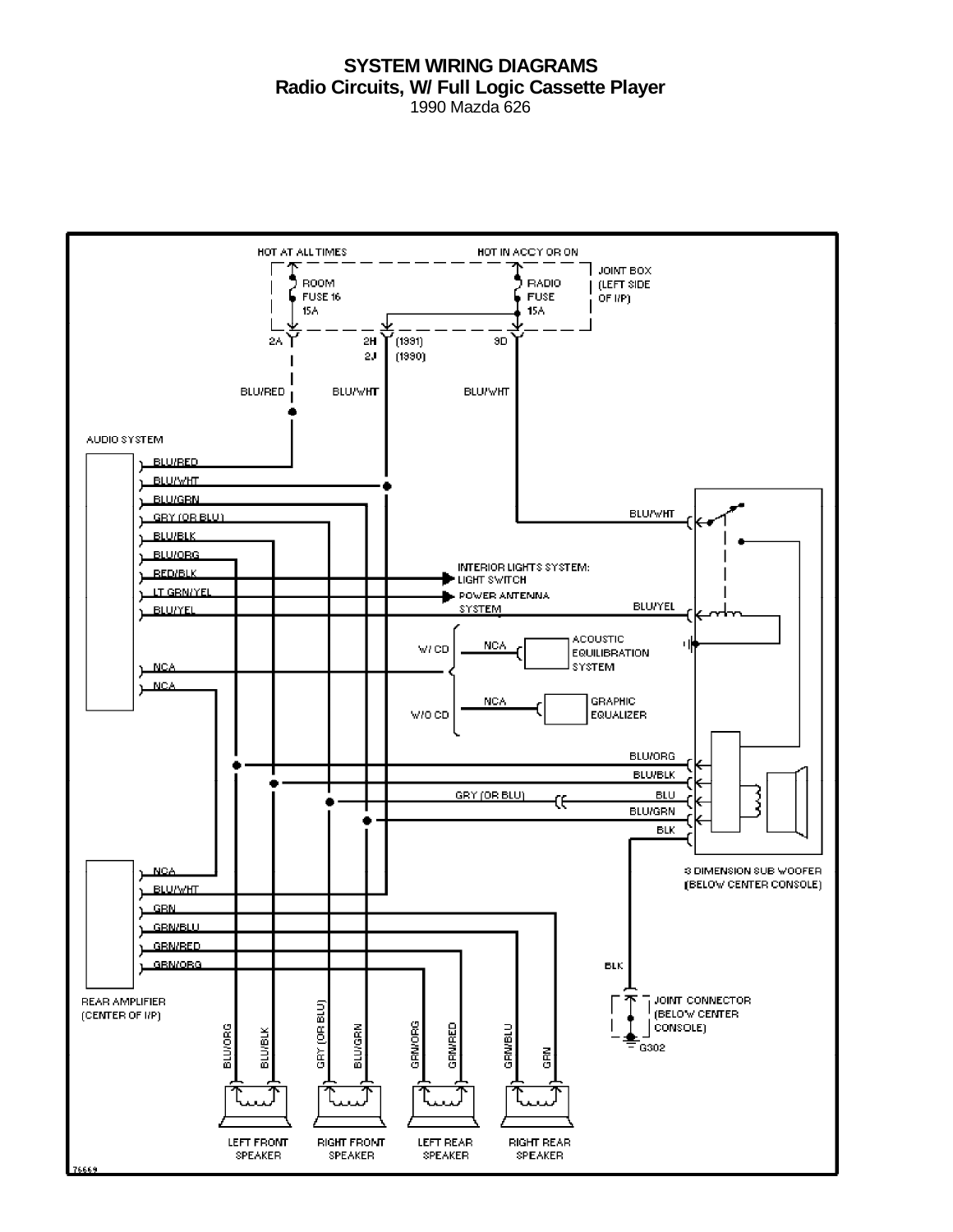#### **SYSTEM WIRING DIAGRAMS Radio Circuits, W/ Full Logic Cassette Player** 1990 Mazda 626

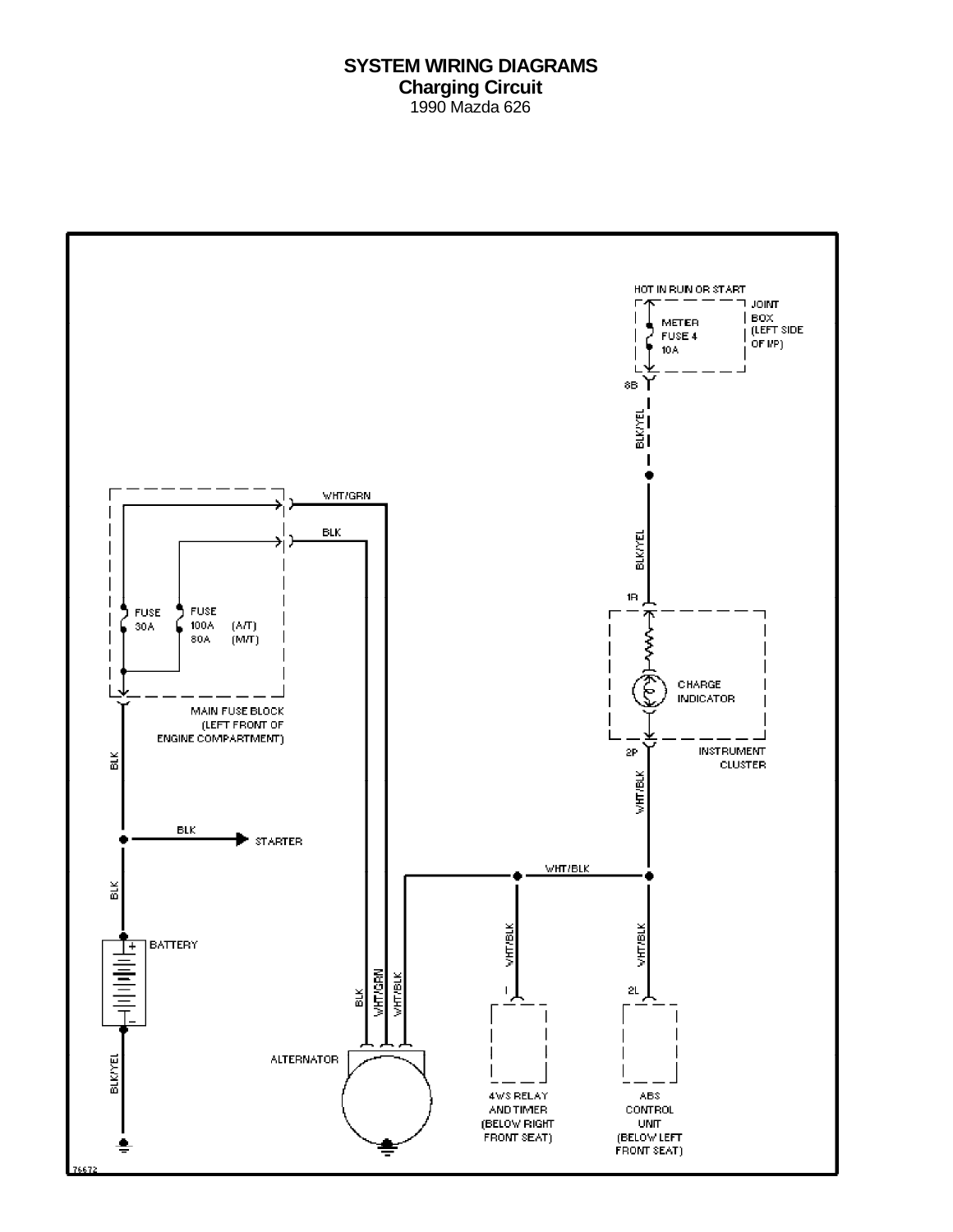# **SYSTEM WIRING DIAGRAMS Charging Circuit** 1990 Mazda 626

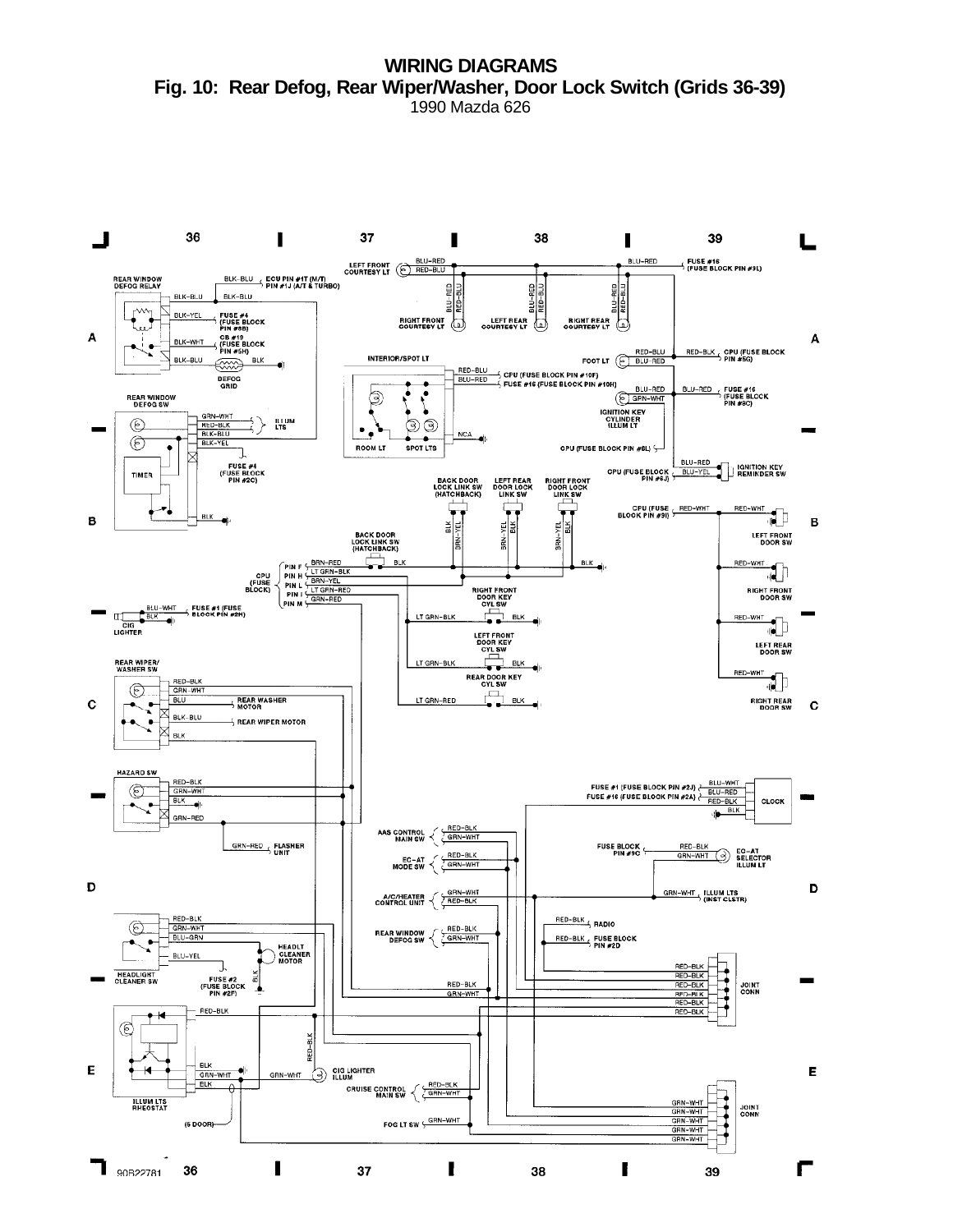**WIRING DIAGRAMS Fig. 10: Rear Defog, Rear Wiper/Washer, Door Lock Switch (Grids 36-39)** 1990 Mazda 626

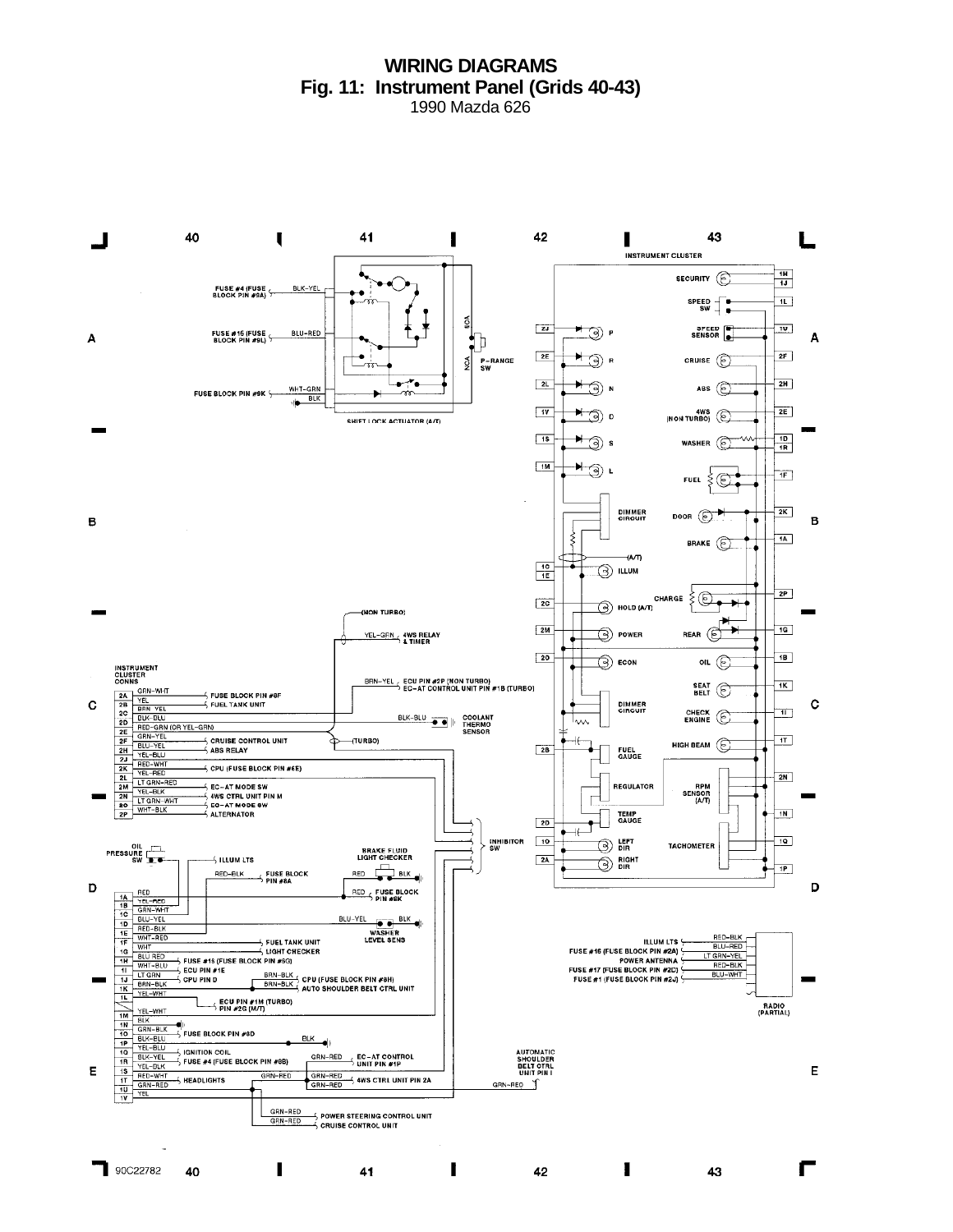#### **WIRING DIAGRAMS Fig. 11: Instrument Panel (Grids 40-43)** 1990 Mazda 626

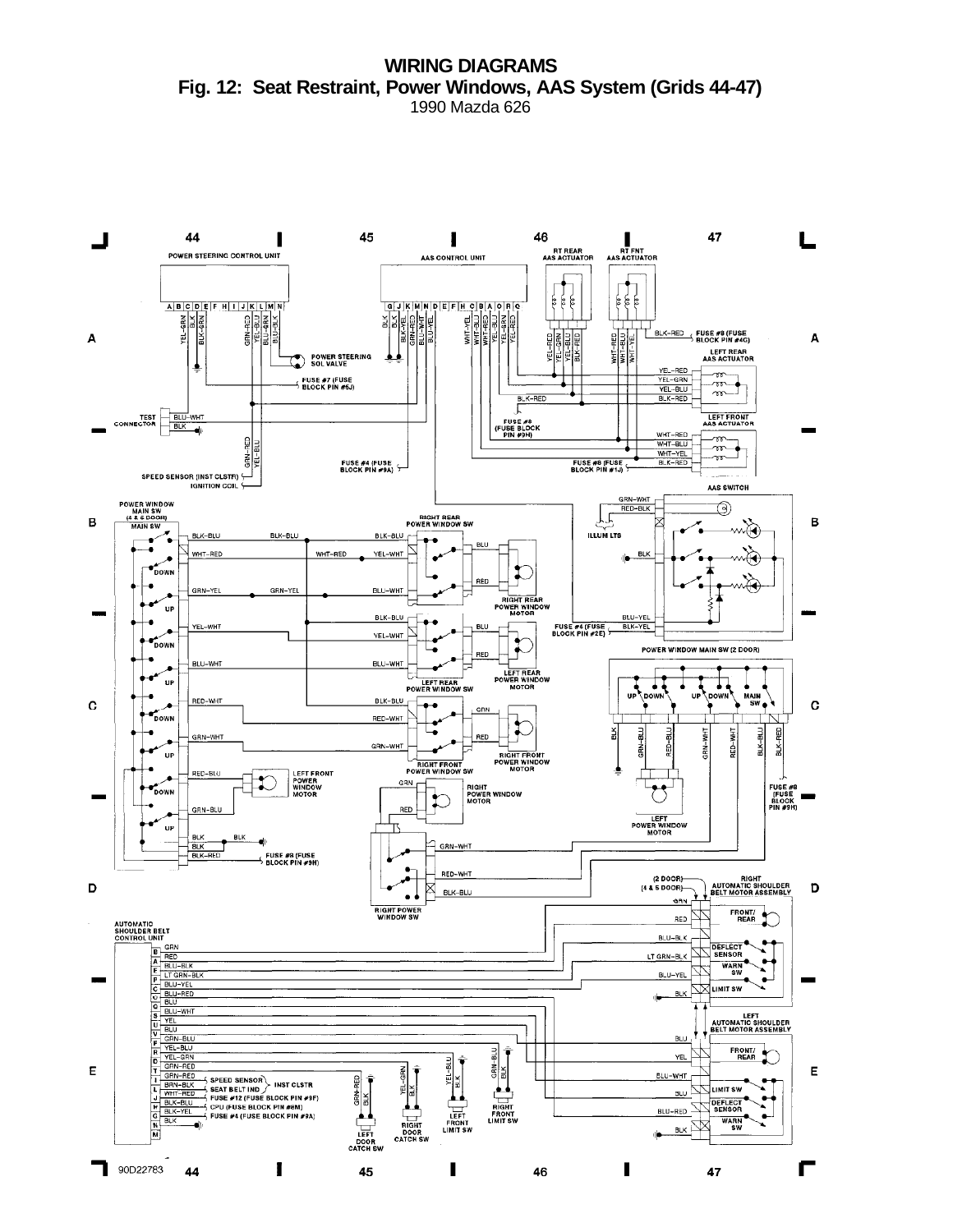**WIRING DIAGRAMS Fig. 12: Seat Restraint, Power Windows, AAS System (Grids 44-47)** 1990 Mazda 626

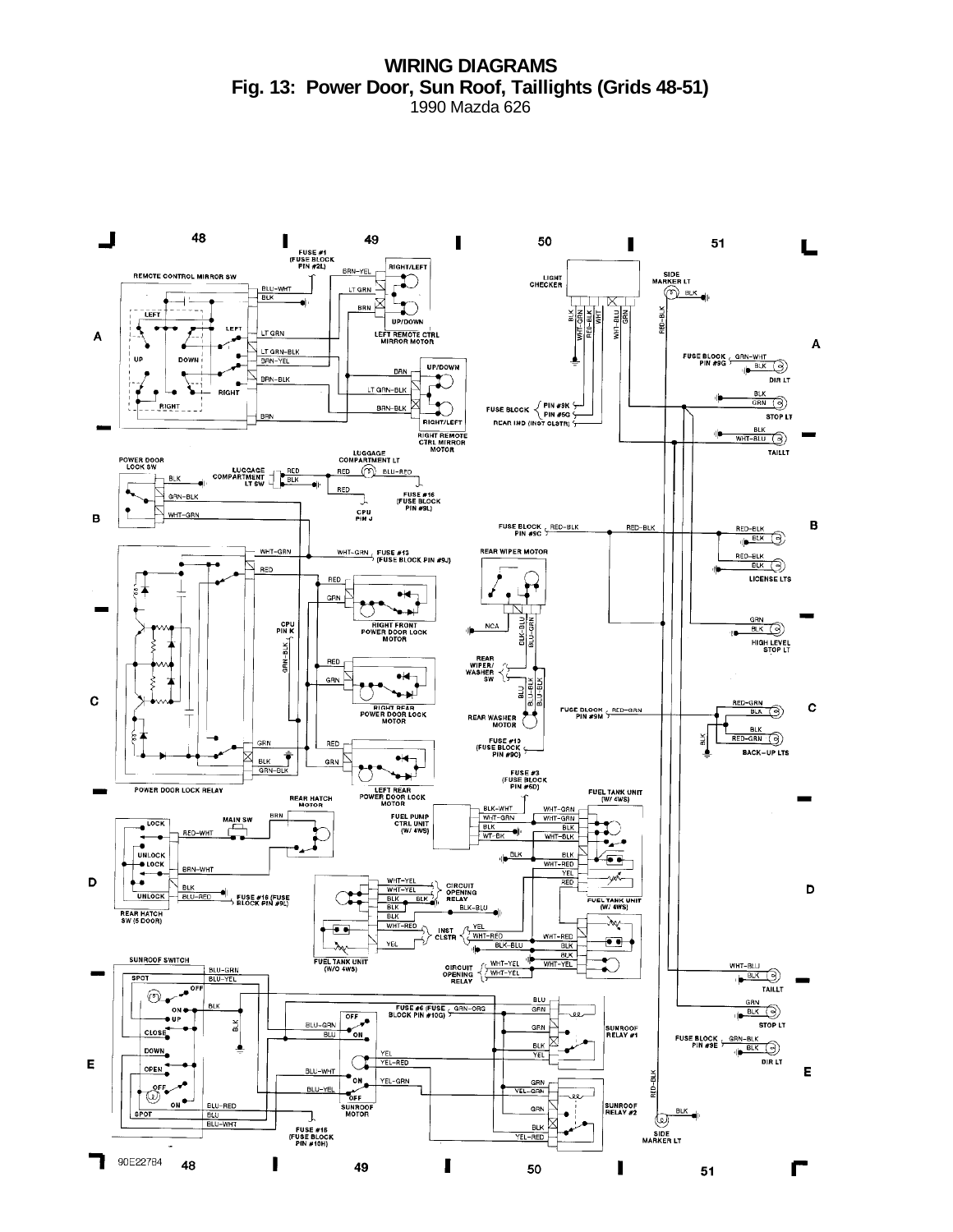**WIRING DIAGRAMS Fig. 13: Power Door, Sun Roof, Taillights (Grids 48-51)** 1990 Mazda 626

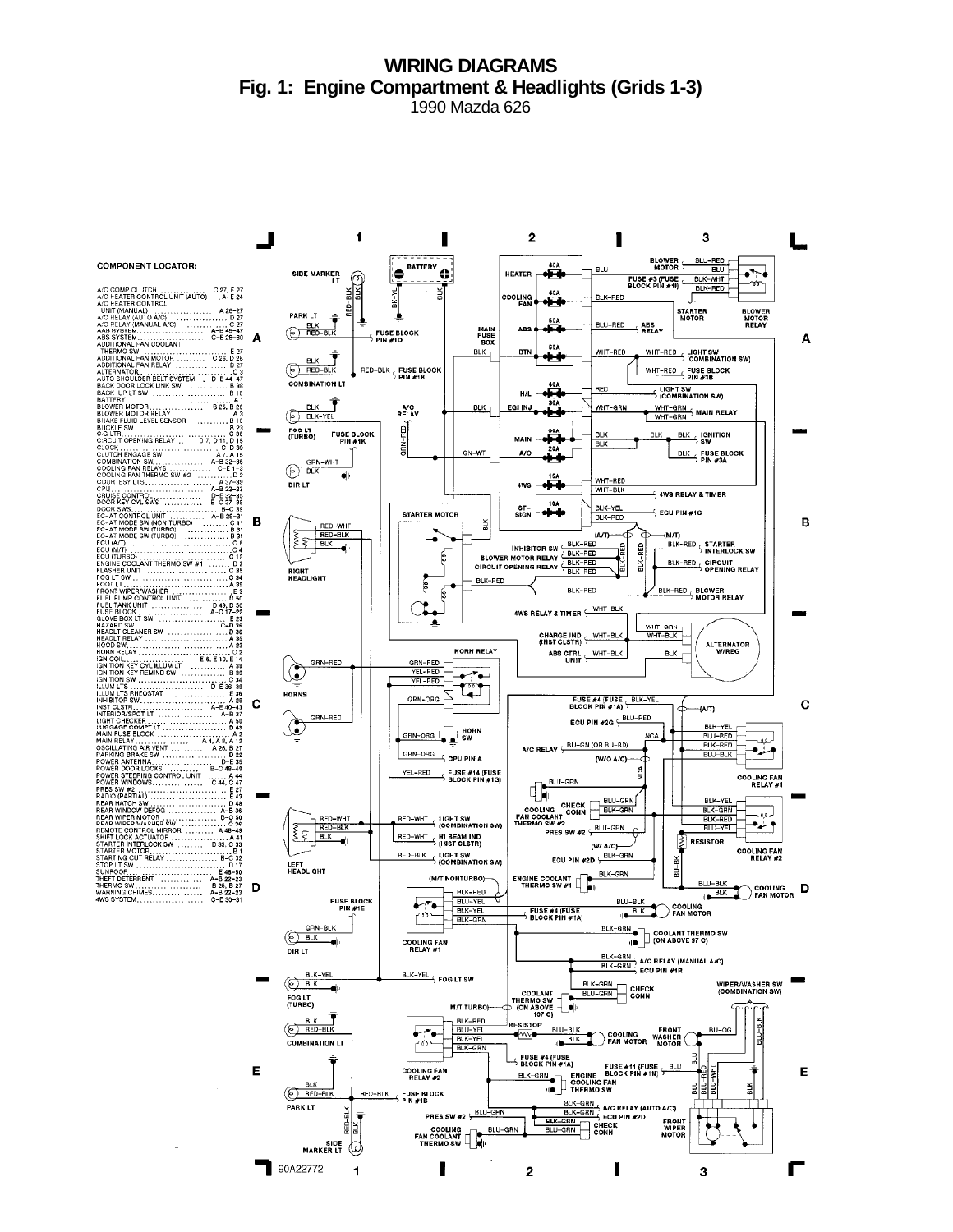# **WIRING DIAGRAMS Fig. 1: Engine Compartment & Headlights (Grids 1-3)**

1990 Mazda 626

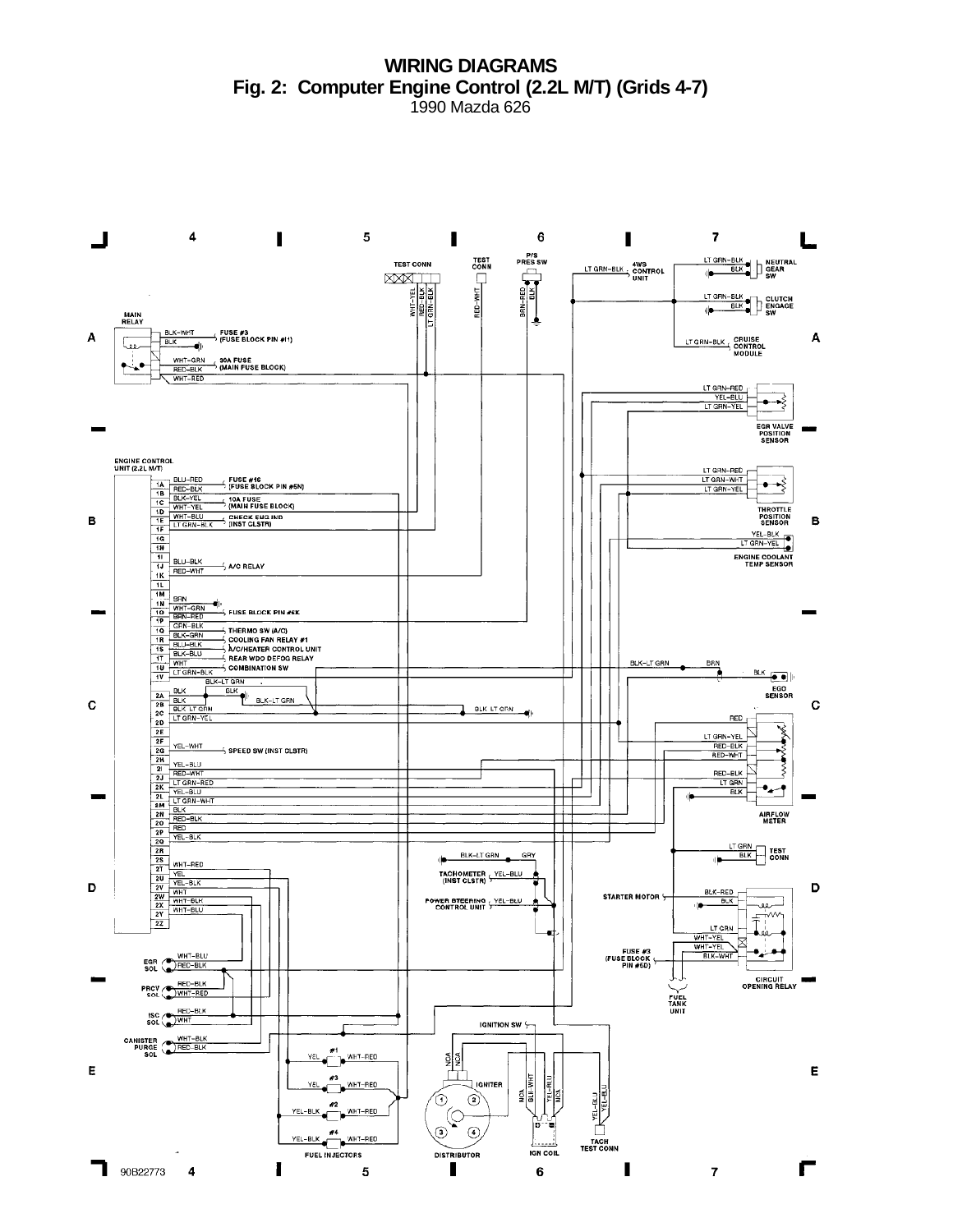**WIRING DIAGRAMS Fig. 2: Computer Engine Control (2.2L M/T) (Grids 4-7)** 1990 Mazda 626

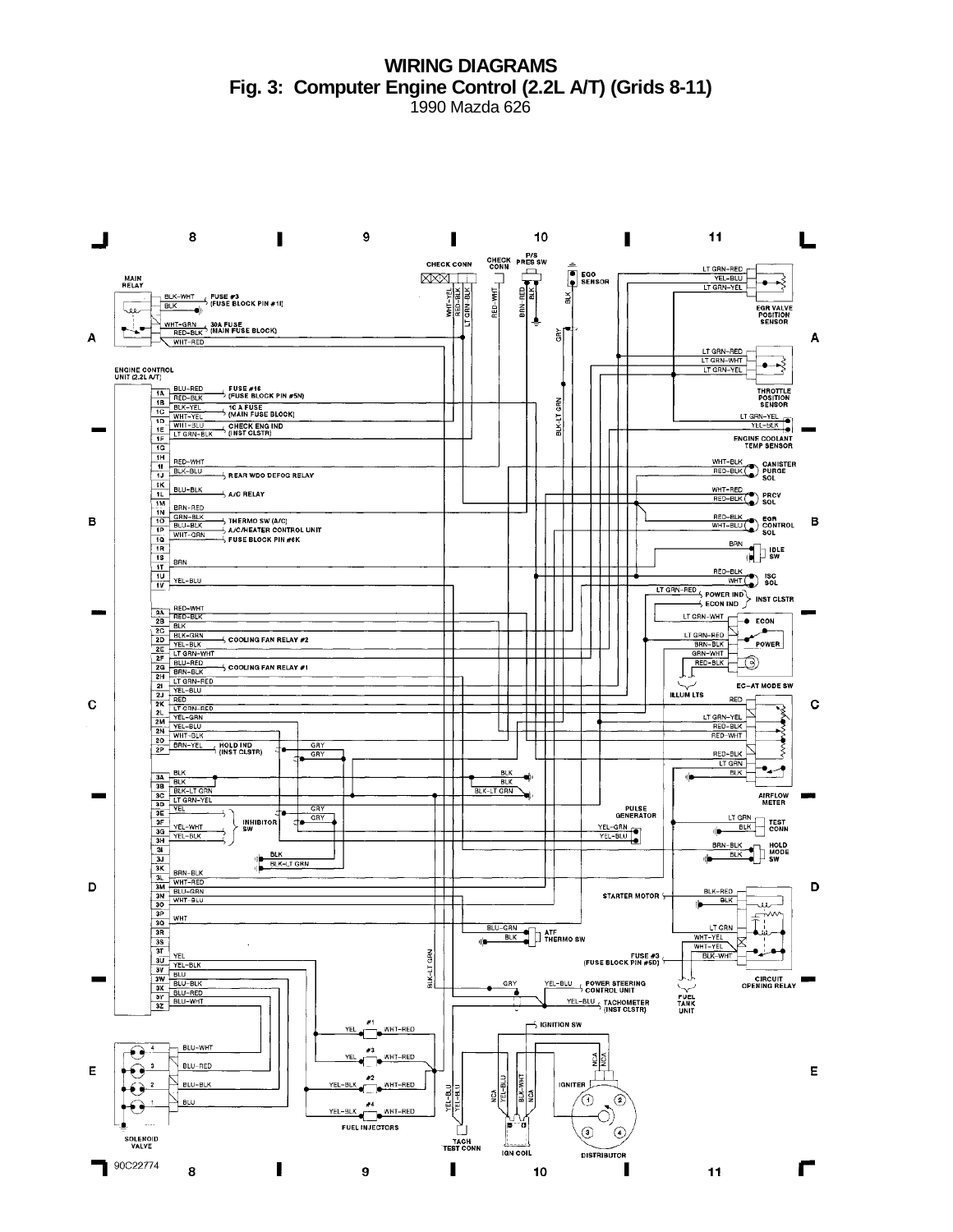**WIRING DIAGRAMS Fig. 3: Computer Engine Control (2.2L A/T) (Grids 8-11)** 1990 Mazda 626

8  $11$  $\blacksquare$  $\mathbf{9}$ 10 J ī п L CHECK P/S<br>CONN PRESSW **CHECK CONN** EGO<br>
EGO<br>
SENSOR LT GRN-RED  $\begin{array}{c}\n\overline{\mathbf{1}} \\
\overline{\mathbf{1}} \\
\overline{\mathbf{1}} \\
\overline{\mathbf{1}} \\
\overline{\mathbf{1}} \\
\overline{\mathbf{1}} \\
\overline{\mathbf{1}} \\
\overline{\mathbf{1}} \\
\overline{\mathbf{1}} \\
\overline{\mathbf{1}} \\
\overline{\mathbf{1}} \\
\overline{\mathbf{1}} \\
\overline{\mathbf{1}} \\
\overline{\mathbf{1}} \\
\overline{\mathbf{1}} \\
\overline{\mathbf{1}} \\
\overline{\mathbf{1}} \\
\overline{\mathbf{1}} \\
\overline{\mathbf{1}} \\
\overline{\mathbf{1}} \\
\overline{\mathbf{1}} \\
\over$ **XXX** I.I **MAIN**<br>RELAY VEL-BLU<br>LT GRN-YEL ⊷⊰ 부 LI GRN BIK ă BLK-WHT FUSE #3<br>BLK FUSE BLOCK PIN #11 **BLK**  $\sqrt{2}$ ne<br>Bel EGR VALVE<br>POSITION<br>SENSOR Ž. -- 01 WHT-GRN 30A FUSE<br>RED-BLK 1MAIN FUSE BLOCK)  $\mathbb{L}^{\bullet}$ 회  $\overline{A}$ RED-BLK A LT GRN-RED  $T$ GRN-WHT  $\rightarrow$ **ENGINE CONTROL**<br>UNIT (2.2L A/T) T GRN-YE THE BLU-RED<br>
THE BLK-YEL<br>
TO WHT-YEL<br>
TO WHT-3LU<br>
TE WHT-3LU<br>
TE LT GRN-BLK<br>
TE LT GRN-BLK \_FUSE #16<br>⊃ (FUSE BLOCK PIN #5N) THROTTLE<br>POSITION<br>SENSOR BLK-LT GRN **10 A FUSE**<br>5 (MAIN FUSE BLOCK) VEL-BLK  $\rightarrow$  CHECK ENG IND  $\frac{16}{10}$ ENGINE COOLANT<br>TEMP SENSOR WHT-BLK<br>RED-BLK PURGE<br>SOL RED-WHT  $\frac{11}{1}$  BLK-BLU **ALL REAR WDO DEFOG RELAY**  $\begin{array}{c|c}\n\hline\n\text{1K} & \text{BLU-BLK} \\
\hline\n\text{1M} & \text{BN-RED} \\
\hline\n\text{1N} & \text{BN-RED} \\
\hline\n\text{1N} & \text{ON-BK} \\
\hline\n\end{array}$ WHT-RED<br>RED-BLK RED-BLK A/C RELAY ┯┯┯┯  $\begin{array}{c|c}\n1^{\text{IM}} & \text{BRN-RED} \\
\hline\n10 & \text{GRN-BLK} \\
\hline\n10 & \text{BLU-BLK} \\
\hline\n\end{array}$  $\overbrace{W \text{HT-BLU}}^{\text{RED-BLK}} \begin{matrix} \texttt{EGR} \\ \texttt{CONTROL} \\ \texttt{SOL} \end{matrix}$ B B WHT-GRN 10 **BRN**  $\frac{1}{\sqrt{2}}$  in the  $\frac{1R}{1S}$ BRN  $\frac{1}{11}$ RED-BLK<br>WHT SOL TП  $\frac{10}{10}$  YEL-BLU  $\frac{\frac{\text{WHT}}{\text{LT GRN-RED}}\text{SOL}}{\text{LT GRN-RED}}$  POWER IND > INST CLSTR<br>  $\rightarrow$  ECON IND > INST CLSTR FOOR IND<br>
IT GRN-RED<br>
TO GRN-RED<br>
TO GRN-RED<br>
GRN-WHT<br>
TO GRN-WHT<br>
TO GRN-WHT<br>
TO COMPUTE TO POWER<br>
TO COMPUTE TO POWER  $\overline{ }$  CONTRO EAN BELAY #2 POWER ┓  $\rightarrow$  COOLING FAN RELAY #1 EC-AT MODE SW ILLUM LTS  $\perp$  $RED_T$ ╅╉╬  $\mathbf C$  $\mathbf C$ Ż R ET GRN-YEL ┯┿┯  $\mathbf{r}$  $\frac{2N}{20}$ ₹ 20 BRN-YEL HOLD IND<br>2P (INST CLSTR) GRY  $RED-BLK$ ξ  $GRY$  $\frac{11 \text{ GAN}}{\text{BLK}}$  $\frac{BLK}{BLK}$ BLK<br>BLK  $\begin{array}{r|l}\n\hline\n3A & \text{BLK} \\
\hline\n3B & \text{BLK} \\
\hline\n3C & \text{BLK}-\text{LT} \text{ GRN} \\
\hline\n3D & \text{VEL} \\
\hline\n3E & \text{VEL} \\
\hline\n3G & \text{VEL}-\text{WHT} \\
\hline\n3G & \text{VEL}-\text{WHT}\n\end{array}$ BLK-LT GRN **AIRFLOW**<br>METER  $\overline{CRY}$ **PULSE**<br>GENERATOR LT GRN<br>IN BLK CONN  $GRY$ ╬ **INHIBITOR**  $YEL-GRN$  $\begin{array}{r|l}\n\hline\n\text{3G} & \text{YEL-WH} \\
\hline\n\text{3G} & \text{YEL-BLK} \\
\hline\n\text{3H} & \text{WHL-BLK} \\
\hline\n\text{3H} & \text{WHT-RED} \\
\hline\n\text{3M} & \text{BLU-GRN} \\
\hline\n\text{3M} & \text{WHT-BUD} \\
\hline\n\text{3M} & \text{WHT-BUD} \\
\hline\n\text{3M} & \text{WHT-BUD} \\
\hline\n\end{array}$ BRN-BLK<br>BLK<br>BLK<br>SW BLK<br>BLK-LT GRN d D D BLK-RED L **STARTER MOTOR S**  $\Box$ ┰  $\frac{3p}{3R}$  $\overline{T}$ <sup>W</sup> WHT BLU-GRN<br>BLK THERMO SW T GRN k WHT-YEL  $\frac{3S}{3T}$ din WHT-YEt **31**<br> **30**<br> **30**<br> **30**<br> **30**<br> **31**<br> **31**<br> **510**<br> **510**<br> **510**<br> **510**<br> **510**<br> **510**<br> **510**<br> **510**<br> **510**<br> **510**<br> **510**<br> **510**<br> **510** نيە-BLK-LT GRN BLK-WHT FUSE #3<br>(FUSE BLOCK PIN #5D) **CIRCUIT<br>OPENING RELAY** GRY YEL-BLU SOWER STEERING FUEL<br>TANK<br>UNIT YEL-BLU TACHOMETER  $\overline{\phantom{a}}$  ignition sw YEL WHT-RED BLU-WHT -60  $\frac{1}{2}$ WHT-RED BLU-RED Е E BLK-WHT<br>NCA  $#2$  $\begin{array}{ccc} \end{array}$  $\searrow$  BLU-BLK **IGNITER** WHT-RED **VEL-BUL**<br>VEL-BUL YEL ₫ **BLU** ⊙  $\circledcirc$ Š,  $YEL-BLK$ FUEL INJECTORS  $\odot$  $\odot$ SOLENOID<br>VALVE TACH<br>TEST CONN **IGN COIL DISTRIBUTOR** 90C22774 Г ı  $\mathbf{I}$ Г 8 9  $11$ 10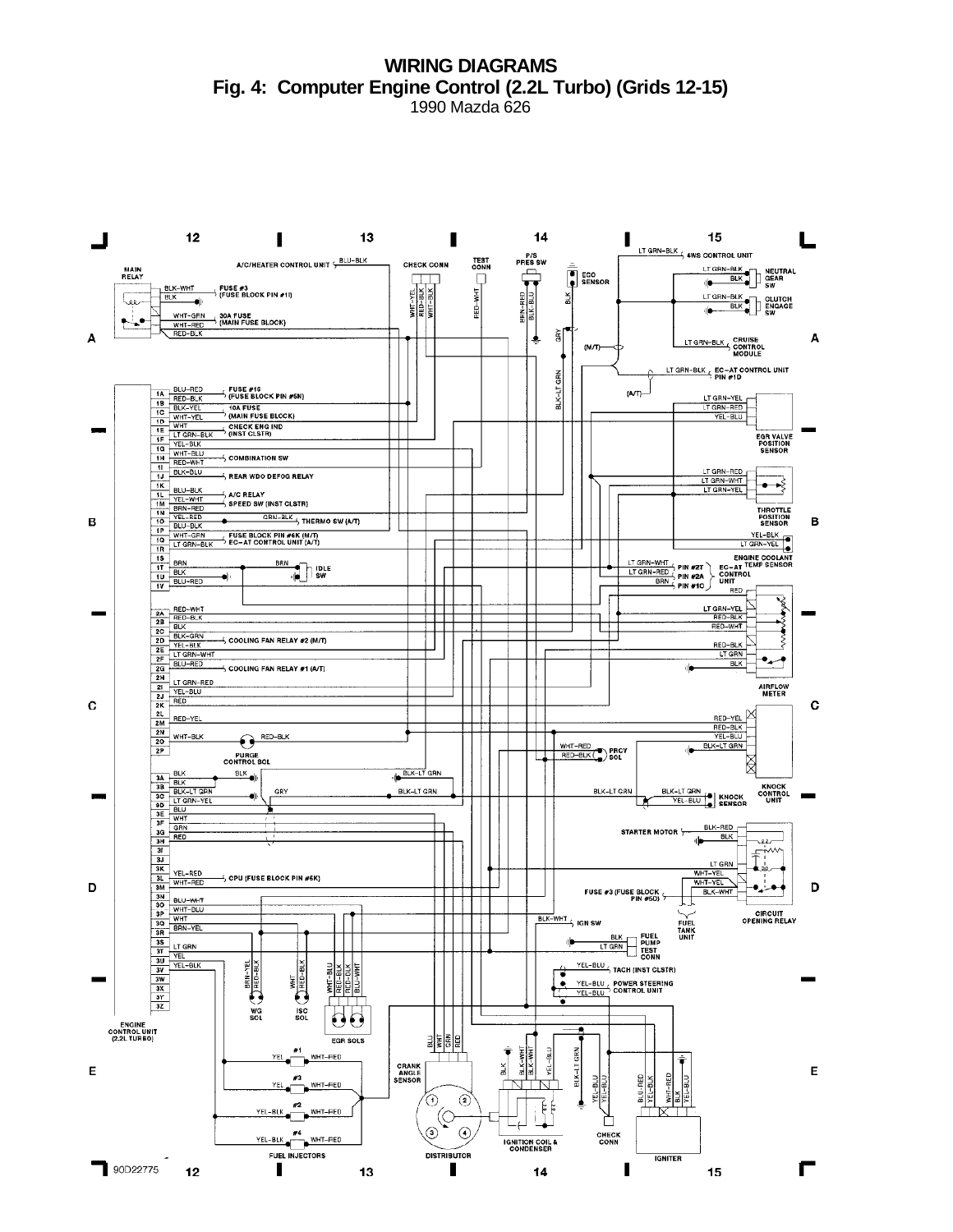**WIRING DIAGRAMS Fig. 4: Computer Engine Control (2.2L Turbo) (Grids 12-15)**

1990 Mazda 626

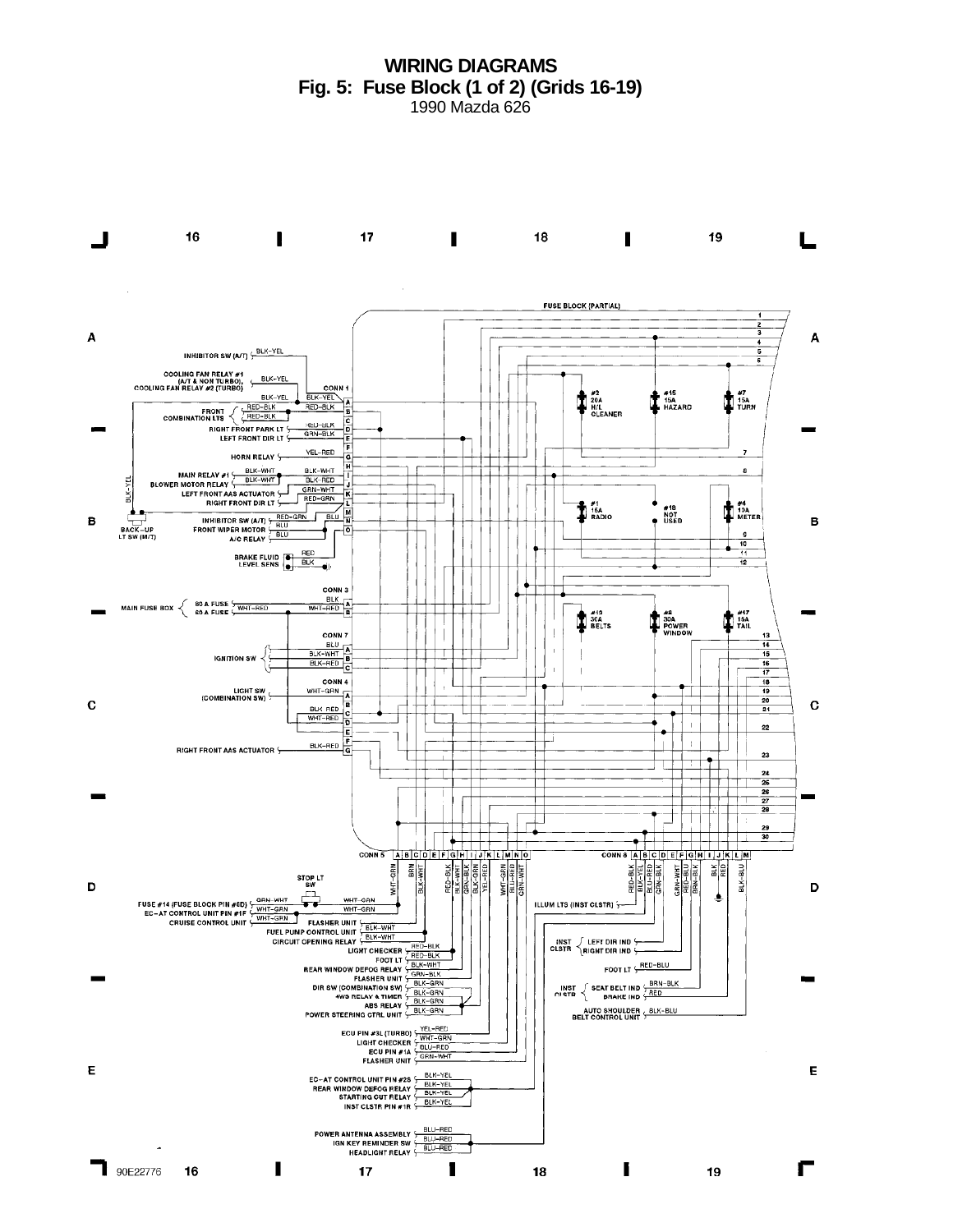**WIRING DIAGRAMS Fig. 5: Fuse Block (1 of 2) (Grids 16-19)** 1990 Mazda 626

16  $\blacksquare$  $17<sub>2</sub>$ 19 18  $\blacksquare$ J  $\blacksquare$ **FUSE BLOCK (PARTIAL)** A  $\mathbf{A}$ INHIBITOR SW (A/T) + BLK-YEL COOLING FAN RELAY #1<br>(A/T & NON TURBO), (BLK-YEL<br>COOLING FAN RELAY #2 (TURBO) **CONN**  $\sum_{H/L}^{20A}$ #15<br>HAZARD  $\frac{1}{2}$   $\frac{47}{10R}$ BLK-YEL BLK-YEL  $\begin{array}{c}\n\text{FRONI} \\
\text{FRONI} \left\{\begin{array}{c}\n\text{RED-BLK} \\
\text{COMBINATION ITS} \n\end{array}\right\}\n\end{array}$ RED-BLK<br>GRN-BLK **RIGHT FRONT PARK LT** LEFT FRONT DIR LT YEL-RED HORN RELAY & MAIN RELAY #1 SEK-WHT<br>BLOWER MOTOR RELAY SEK-WHT<br>LEFT FRONT AAS ACTUATOR BLK-WHT <del>----------</del>  $\mathbf{s}$ BLK-WHI<br>BLK-RED<br>GRN-WHT<br>RED-GRN K ÷ BLK-YEL  $\overline{\phantom{a}}$ **TE** TOA  $\ddagger$  isa<br>Pradio #18<br>NOT<br>USED INHIBITOR SW (A/T)  $\frac{\text{RED-GRN}}{\text{BUD}}$  BLU N B B FRONT WIPER MOTOR  $\frac{BUV}{BUV}$ <br>A/C RELAY BACK-UP<br>LT SW (M/T) ⊣ं 10 BRAKE FLUID<br>LEVEL SENS 15 ali CONN 3 WHT-RED MAIN FUSE BOX  $\begin{cases} 80 \text{ A FUSE} \\ 60 \text{ A FUSE} \end{cases}$ THE TAIL  $\sum_{B E L T S}^{4/2}$ **D**<sup>304</sup><br>POWER CONN 7  $EUV$ BLK-WHT **IGNITION SW** BLK-RED B CONN 4 **E CONN 4**<br>WHT-GRN LIGHT SW<br>(COMBINATION SW) 20  $\mathbf C$  $\mathbf C$ BLK-RED  $\overline{21}$ 22 BLK-RED  $\mathbf{I}$ RIGHT FRONT AAS ACTUATOR 4 23  $\Box$ 24  $\frac{26}{27}$ <br> $\frac{27}{28}$  $\frac{29}{30}$ ╄  $\overline{\text{conv 8} \mid A \mid B \mid C \mid D \mid E \mid F \mid G \mid H \mid I \mid K \mid L \mid M}$  $\begin{array}{c}\n\text{HD-BIX} \\
\hline\n\text{BU-RED} \\
\hline\n\text{BU-RED} \\
\hline\n\text{GBW-BIX}\n\end{array}$  $\frac{GRN-NHT}{HED-BLU}$ BLK-BLU 쁿 STOP LT<br>SW D D FUSE #14 (FUSE BLOCK PIN #60)  $\frac{GNN}{WHT-GBN}$ <br>
EC-AT CONTROL UNIT PIN #15  $\frac{WHT-GBN}{WHT-GBN}$ <br>
CRUISE CONTROL UNIT PIN #15  $\frac{GNN}{F-1}$  FLASHER UNIT  $\frac{EK-WHT}{F-1}$ <br>
FUEL PUMP CONTROL UNIT  $\frac{EK-WHT}{F-1}$ <br>
FUEL PUMP CONTROL UNIT ILLUM LTS (INST CLSTR) {-TOPENING RELAY VELK-WHT<br>
TOPENING RELAY VELK-WHT<br>
LIGHT CHECKER VELGED-BLK<br>
LIGHT CHECKER VELGED-BLK<br>
FLEAR WINDOW DEFOG RELAY VELK-BLK<br>
FLEAR WINDOW PLAT AND TANK VERN-BLK<br>
DIR SW COMBINATION SWY VELK-GRN<br>
AWS RELAY & TIM  $\begin{array}{c} \texttt{INST}\end{array}\left\{\begin{array}{c} \texttt{LEFT DIR IND}\end{array}\right.\\ \texttt{CLSTR}\end{array}\right.$ FOOT LT SED-BLU INST  $\int$  SEAT BELT IND  $\frac{\text{BRN-BLK}}{\text{BRD}}$ <br>CLSTR  $\left\{\begin{array}{c} \text{BER-BLK} \\ \text{BRAKE IND} \end{array}\right.$ AUTO SHOULDER BLK-BLU ECU PIN #3L (TURBO) VEL-RED<br>LIGHT CHECKER VELU-RED<br>ECU PIN #14 VELU-RED<br>FLASHER UNIT Y E E **EC-AT CONTROL UNIT PIN #2S**  $\frac{\text{BLK-YEL}}{\text{BLK-YEL}}$ <br>REAR WINDOW DEFOG RELAY  $\frac{\text{BLK-YEL}}{\text{BLK-YEL}}$ <br>INST CLSTR PIN #1R  $\frac{\text{BLK-YEL}}{\text{NL}}$ BLK-YEL POWER ANTENNA ASSEMBLY  $\frac{BLU-RED}{BLU-RED}$ <br>IGN KEY REMINDER SW  $\frac{BLU-RED}{BLU-RED}$ <br>HEADLIGHT RELAY I  $\log_{10}$  90E22776 П П Г  $16$  $17$  $18$ 19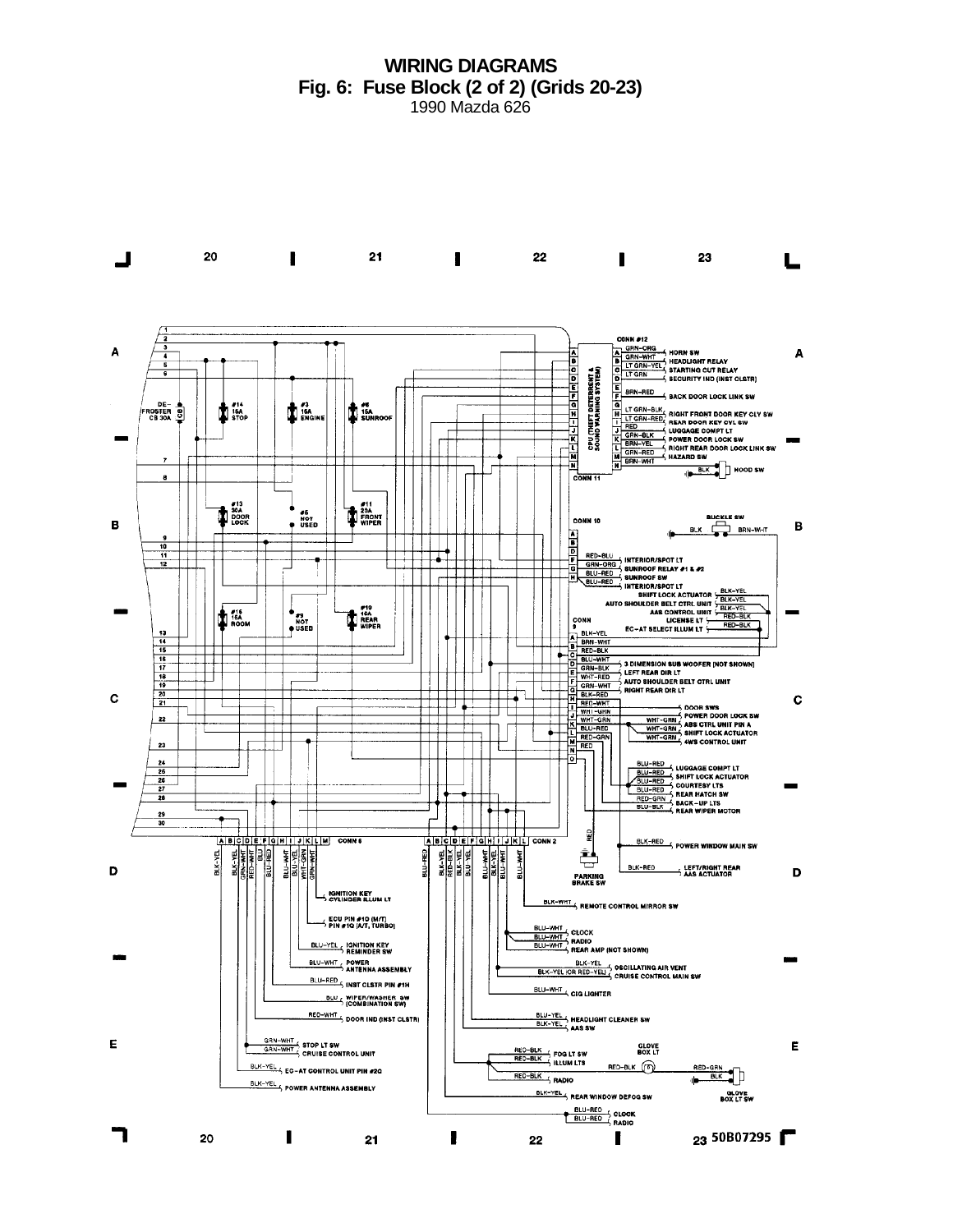**WIRING DIAGRAMS Fig. 6: Fuse Block (2 of 2) (Grids 20-23)** 1990 Mazda 626

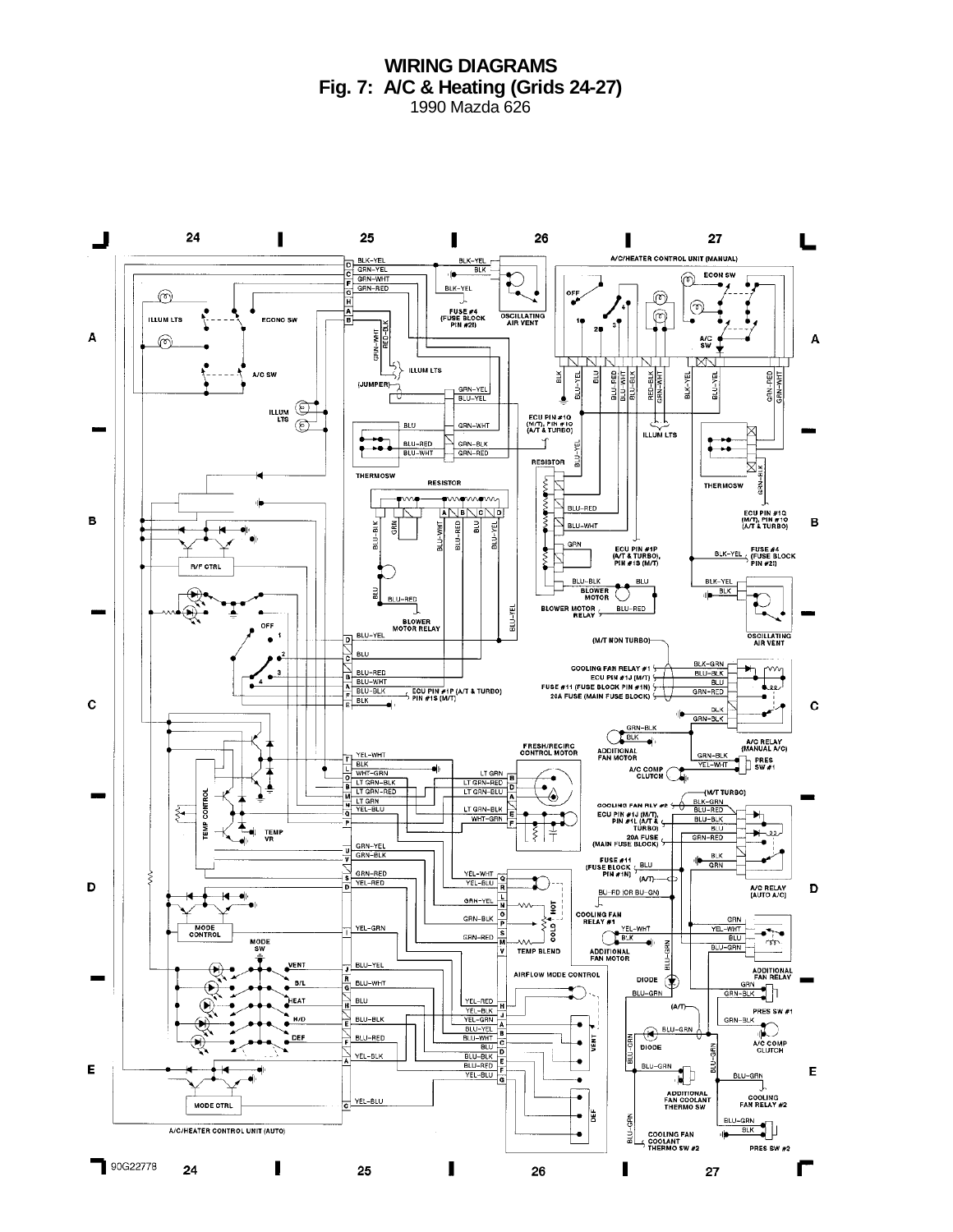**WIRING DIAGRAMS Fig. 7: A/C & Heating (Grids 24-27)** 1990 Mazda 626

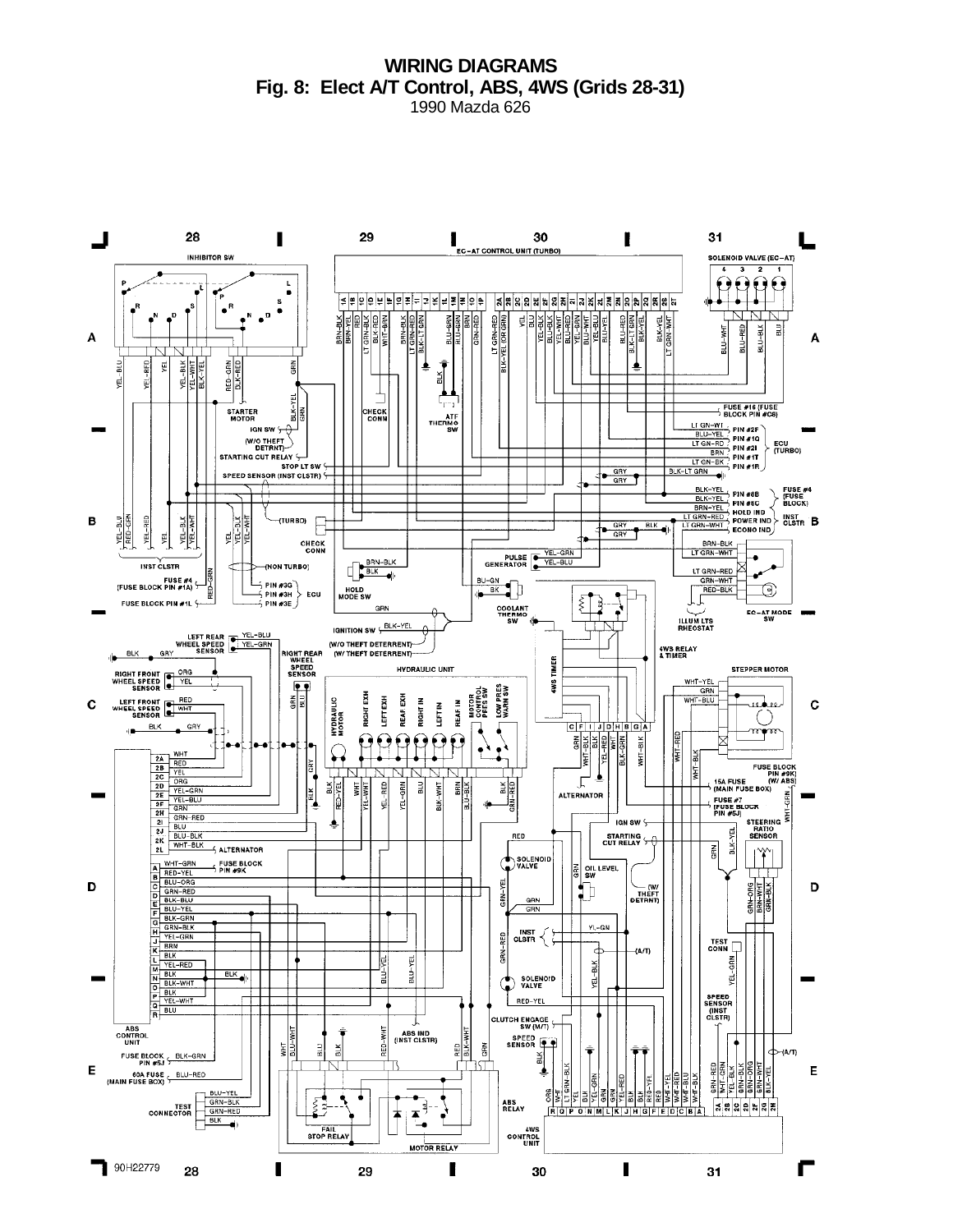# **WIRING DIAGRAMS Fig. 8: Elect A/T Control, ABS, 4WS (Grids 28-31)**

1990 Mazda 626